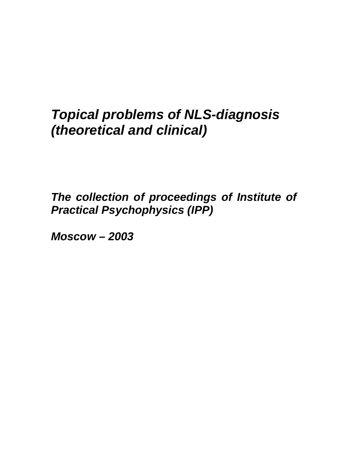# *Topical problems of NLS-diagnosis (theoretical and clinical)*

*The collection of proceedings of Institute of Practical Psychophysics (IPP)* 

*Moscow – 2003*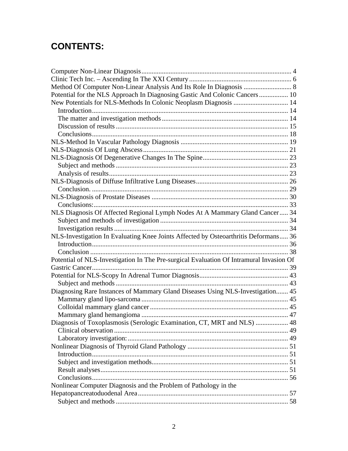## **CONTENTS:**

| Potential for the NLS Approach In Diagnosing Gastic And Colonic Cancers 10              |  |
|-----------------------------------------------------------------------------------------|--|
| New Potentials for NLS-Methods In Colonic Neoplasm Diagnosis  14                        |  |
|                                                                                         |  |
|                                                                                         |  |
|                                                                                         |  |
|                                                                                         |  |
|                                                                                         |  |
|                                                                                         |  |
|                                                                                         |  |
|                                                                                         |  |
|                                                                                         |  |
|                                                                                         |  |
|                                                                                         |  |
|                                                                                         |  |
|                                                                                         |  |
| NLS Diagnosis Of Affected Regional Lymph Nodes At A Mammary Gland Cancer 34             |  |
|                                                                                         |  |
|                                                                                         |  |
| NLS-Investigation In Evaluating Knee Joints Affected by Osteoarthritis Deformans 36     |  |
|                                                                                         |  |
|                                                                                         |  |
| Potential of NLS-Investigation In The Pre-surgical Evaluation Of Intramural Invasion Of |  |
|                                                                                         |  |
|                                                                                         |  |
|                                                                                         |  |
| Diagnosing Rare Instances of Mammary Gland Diseases Using NLS-Investigation 45          |  |
|                                                                                         |  |
|                                                                                         |  |
|                                                                                         |  |
| Diagnosis of Toxoplasmosis (Serologic Examination, CT, MRT and NLS)  48                 |  |
|                                                                                         |  |
|                                                                                         |  |
|                                                                                         |  |
|                                                                                         |  |
|                                                                                         |  |
|                                                                                         |  |
|                                                                                         |  |
| Nonlinear Computer Diagnosis and the Problem of Pathology in the                        |  |
|                                                                                         |  |
|                                                                                         |  |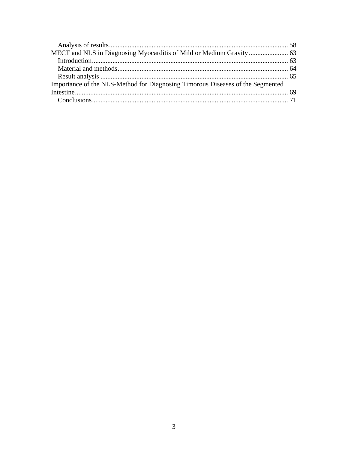| Importance of the NLS-Method for Diagnosing Timorous Diseases of the Segmented |  |
|--------------------------------------------------------------------------------|--|
|                                                                                |  |
|                                                                                |  |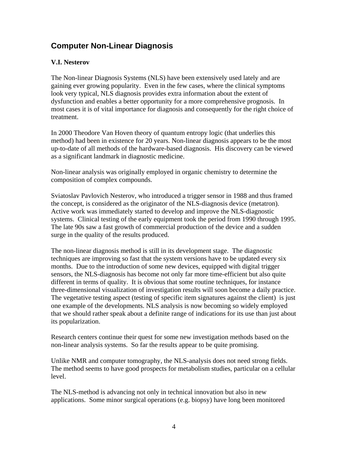### <span id="page-3-0"></span>**Computer Non-Linear Diagnosis**

### **V.I. Nesterov**

The Non-linear Diagnosis Systems (NLS) have been extensively used lately and are gaining ever growing popularity. Even in the few cases, where the clinical symptoms look very typical, NLS diagnosis provides extra information about the extent of dysfunction and enables a better opportunity for a more comprehensive prognosis. In most cases it is of vital importance for diagnosis and consequently for the right choice of treatment.

In 2000 Theodore Van Hoven theory of quantum entropy logic (that underlies this method) had been in existence for 20 years. Non-linear diagnosis appears to be the most up-to-date of all methods of the hardware-based diagnosis. His discovery can be viewed as a significant landmark in diagnostic medicine.

Non-linear analysis was originally employed in organic chemistry to determine the composition of complex compounds.

Sviatoslav Pavlovich Nesterov, who introduced a trigger sensor in 1988 and thus framed the concept, is considered as the originator of the NLS-diagnosis device (metatron). Active work was immediately started to develop and improve the NLS-diagnostic systems. Clinical testing of the early equipment took the period from 1990 through 1995. The late 90s saw a fast growth of commercial production of the device and a sudden surge in the quality of the results produced.

The non-linear diagnosis method is still in its development stage. The diagnostic techniques are improving so fast that the system versions have to be updated every six months. Due to the introduction of some new devices, equipped with digital trigger sensors, the NLS-diagnosis has become not only far more time-efficient but also quite different in terms of quality. It is obvious that some routine techniques, for instance three-dimensional visualization of investigation results will soon become a daily practice. The vegetative testing aspect (testing of specific item signatures against the client) is just one example of the developments. NLS analysis is now becoming so widely employed that we should rather speak about a definite range of indications for its use than just about its popularization.

Research centers continue their quest for some new investigation methods based on the non-linear analysis systems. So far the results appear to be quite promising.

Unlike NMR and computer tomography, the NLS-analysis does not need strong fields. The method seems to have good prospects for metabolism studies, particular on a cellular level.

The NLS-method is advancing not only in technical innovation but also in new applications. Some minor surgical operations (e.g. biopsy) have long been monitored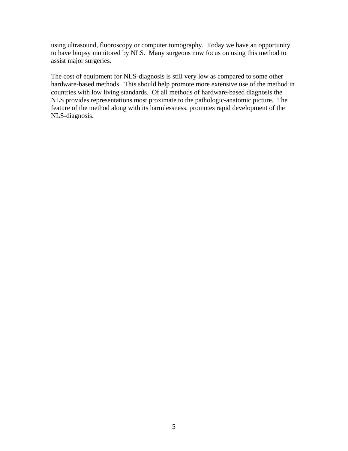using ultrasound, fluoroscopy or computer tomography. Today we have an opportunity to have biopsy monitored by NLS. Many surgeons now focus on using this method to assist major surgeries.

The cost of equipment for NLS-diagnosis is still very low as compared to some other hardware-based methods. This should help promote more extensive use of the method in countries with low living standards. Of all methods of hardware-based diagnosis the NLS provides representations most proximate to the pathologic-anatomic picture. The feature of the method along with its harmlessness, promotes rapid development of the NLS-diagnosis.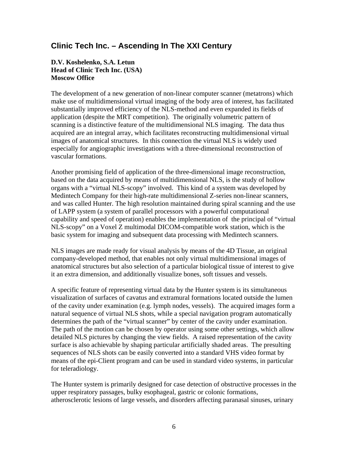### <span id="page-5-0"></span>**Clinic Tech Inc. – Ascending In The XXI Century**

#### **D.V. Koshelenko, S.A. Letun Head of Clinic Tech Inc. (USA) Moscow Office**

The development of a new generation of non-linear computer scanner (metatrons) which make use of multidimensional virtual imaging of the body area of interest, has facilitated substantially improved efficiency of the NLS-method and even expanded its fields of application (despite the MRT competition). The originally volumetric pattern of scanning is a distinctive feature of the multidimensional NLS imaging. The data thus acquired are an integral array, which facilitates reconstructing multidimensional virtual images of anatomical structures. In this connection the virtual NLS is widely used especially for angiographic investigations with a three-dimensional reconstruction of vascular formations.

Another promising field of application of the three-dimensional image reconstruction, based on the data acquired by means of multidimensional NLS, is the study of hollow organs with a "virtual NLS-scopy" involved. This kind of a system was developed by Medintech Company for their high-rate multidimensional Z-series non-linear scanners, and was called Hunter. The high resolution maintained during spiral scanning and the use of LAPP system (a system of parallel processors with a powerful computational capability and speed of operation) enables the implementation of the principal of "virtual NLS-scopy" on a Voxel Z multimodal DICOM-compatible work station, which is the basic system for imaging and subsequent data processing with Medintech scanners.

NLS images are made ready for visual analysis by means of the 4D Tissue, an original company-developed method, that enables not only virtual multidimensional images of anatomical structures but also selection of a particular biological tissue of interest to give it an extra dimension, and additionally visualize bones, soft tissues and vessels.

A specific feature of representing virtual data by the Hunter system is its simultaneous visualization of surfaces of cavatus and extramural formations located outside the lumen of the cavity under examination (e.g. lymph nodes, vessels). The acquired images form a natural sequence of virtual NLS shots, while a special navigation program automatically determines the path of the "virtual scanner" by center of the cavity under examination. The path of the motion can be chosen by operator using some other settings, which allow detailed NLS pictures by changing the view fields. A raised representation of the cavity surface is also achievable by shaping particular artificially shaded areas. The presulting sequences of NLS shots can be easily converted into a standard VHS video format by means of the epi-Client program and can be used in standard video systems, in particular for teleradiology.

The Hunter system is primarily designed for case detection of obstructive processes in the upper respiratory passages, bulky esophageal, gastric or colonic formations, atherosclerotic lesions of large vessels, and disorders affecting paranasal sinuses, urinary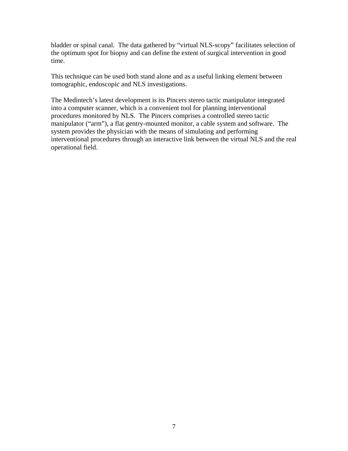bladder or spinal canal. The data gathered by "virtual NLS-scopy" facilitates selection of the optimum spot for biopsy and can define the extent of surgical intervention in good time.

This technique can be used both stand alone and as a useful linking element between tomographic, endoscopic and NLS investigations.

The Medintech's latest development is its Pincers stereo tactic manipulator integrated into a computer scanner, which is a convenient tool for planning interventional procedures monitored by NLS. The Pincers comprises a controlled stereo tactic manipulator ("arm"), a flat gentry-mounted monitor, a cable system and software. The system provides the physician with the means of simulating and performing interventional procedures through an interactive link between the virtual NLS and the real operational field.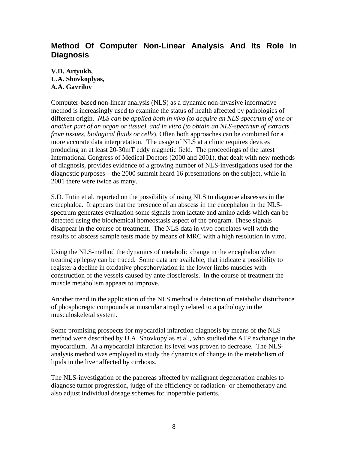### <span id="page-7-0"></span>**Method Of Computer Non-Linear Analysis And Its Role In Diagnosis**

**V.D. Artyukh, U.A. Shovkoplyas, A.A. Gavrilov** 

Computer-based non-linear analysis (NLS) as a dynamic non-invasive informative method is increasingly used to examine the status of health affected by pathologies of different origin. *NLS can be applied both in vivo (to acquire an NLS-spectrum of one or another part of an organ or tissue), and in vitro (to obtain an NLS-spectrum of extracts from tissues, biological fluids or cells*). Often both approaches can be combined for a more accurate data interpretation. The usage of NLS at a clinic requires devices producing an at least 20-30mT eddy magnetic field. The proceedings of the latest International Congress of Medical Doctors (2000 and 2001), that dealt with new methods of diagnosis, provides evidence of a growing number of NLS-investigations used for the diagnostic purposes – the 2000 summit heard 16 presentations on the subject, while in 2001 there were twice as many.

S.D. Tutin et al. reported on the possibility of using NLS to diagnose abscesses in the encephaloa. It appears that the presence of an abscess in the encephalon in the NLSspectrum generates evaluation some signals from lactate and amino acids which can be detected using the biochemical homeostasis aspect of the program. These signals disappear in the course of treatment. The NLS data in vivo correlates well with the results of abscess sample tests made by means of MRC with a high resolution in vitro.

Using the NLS-method the dynamics of metabolic change in the encephalon when treating epilepsy can be traced. Some data are available, that indicate a possibility to register a decline in oxidative phosphorylation in the lower limbs muscles with construction of the vessels caused by ante-riosclerosis. In the course of treatment the muscle metabolism appears to improve.

Another trend in the application of the NLS method is detection of metabolic disturbance of phosphoregic compounds at muscular atrophy related to a pathology in the musculoskeletal system.

Some promising prospects for myocardial infarction diagnosis by means of the NLS method were described by U.A. Shovkopylas et al., who studied the ATP exchange in the myocardium. At a myocardial infarction its level was proven to decrease. The NLSanalysis method was employed to study the dynamics of change in the metabolism of lipids in the liver affected by cirrhosis.

The NLS-investigation of the pancreas affected by malignant degeneration enables to diagnose tumor progression, judge of the efficiency of radiation- or chemotherapy and also adjust individual dosage schemes for inoperable patients.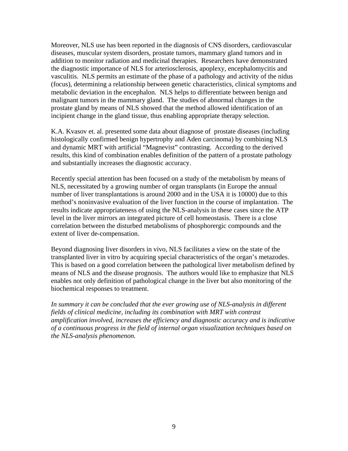Moreover, NLS use has been reported in the diagnosis of CNS disorders, cardiovascular diseases, muscular system disorders, prostate tumors, mammary gland tumors and in addition to monitor radiation and medicinal therapies. Researchers have demonstrated the diagnostic importance of NLS for arteriosclerosis, apoplexy, encephalomycitis and vasculitis. NLS permits an estimate of the phase of a pathology and activity of the nidus (focus), determining a relationship between genetic characteristics, clinical symptoms and metabolic deviation in the encephalon. NLS helps to differentiate between benign and malignant tumors in the mammary gland. The studies of abnormal changes in the prostate gland by means of NLS showed that the method allowed identification of an incipient change in the gland tissue, thus enabling appropriate therapy selection.

K.A. Kvasov et. al. presented some data about diagnose of prostate diseases (including histologically confirmed benign hypertrophy and Aden carcinoma) by combining NLS and dynamic MRT with artificial "Magnevist" contrasting. According to the derived results, this kind of combination enables definition of the pattern of a prostate pathology and substantially increases the diagnostic accuracy.

Recently special attention has been focused on a study of the metabolism by means of NLS, necessitated by a growing number of organ transplants (in Europe the annual number of liver transplantations is around 2000 and in the USA it is 10000) due to this method's noninvasive evaluation of the liver function in the course of implantation. The results indicate appropriateness of using the NLS-analysis in these cases since the ATP level in the liver mirrors an integrated picture of cell homeostasis. There is a close correlation between the disturbed metabolisms of phosphorergic compounds and the extent of liver de-compensation.

Beyond diagnosing liver disorders in vivo, NLS facilitates a view on the state of the transplanted liver in vitro by acquiring special characteristics of the organ's metazodes. This is based on a good correlation between the pathological liver metabolism defined by means of NLS and the disease prognosis. The authors would like to emphasize that NLS enables not only definition of pathological change in the liver but also monitoring of the biochemical responses to treatment.

*In summary it can be concluded that the ever growing use of NLS-analysis in different fields of clinical medicine, including its combination with MRT with contrast amplification involved, increases the efficiency and diagnostic accuracy and is indicative of a continuous progress in the field of internal organ visualization techniques based on the NLS-analysis phenomenon.*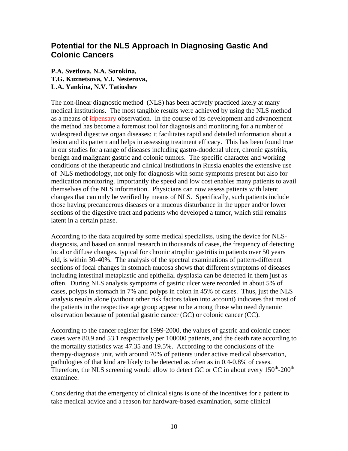### <span id="page-9-0"></span>**Potential for the NLS Approach In Diagnosing Gastic And Colonic Cancers**

#### **P.A. Svetlova, N.A. Sorokina, T.G. Kuznetsova, V.I. Nesterova, L.A. Yankina, N.V. Tatioshev**

The non-linear diagnostic method (NLS) has been actively practiced lately at many medical institutions. The most tangible results were achieved by using the NLS method as a means of idpensary observation. In the course of its development and advancement the method has become a foremost tool for diagnosis and monitoring for a number of widespread digestive organ diseases: it facilitates rapid and detailed information about a lesion and its pattern and helps in assessing treatment efficacy. This has been found true in our studies for a range of diseases including gastro-duodenal ulcer, chronic gastritis, benign and malignant gastric and colonic tumors. The specific character and working conditions of the therapeutic and clinical institutions in Russia enables the extensive use of NLS methodology, not only for diagnosis with some symptoms present but also for medication monitoring. Importantly the speed and low cost enables many patients to avail themselves of the NLS information. Physicians can now assess patients with latent changes that can only be verified by means of NLS. Specifically, such patients include those having precancerous diseases or a mucous disturbance in the upper and/or lower sections of the digestive tract and patients who developed a tumor, which still remains latent in a certain phase.

According to the data acquired by some medical specialists, using the device for NLSdiagnosis, and based on annual research in thousands of cases, the frequency of detecting local or diffuse changes, typical for chronic atrophic gastritis in patients over 50 years old, is within 30-40%. The analysis of the spectral examinations of pattern-different sections of focal changes in stomach mucosa shows that different symptoms of diseases including intestinal metaplastic and epithelial dysplasia can be detected in them just as often. During NLS analysis symptoms of gastric ulcer were recorded in about 5% of cases, polyps in stomach in 7% and polyps in colon in 45% of cases. Thus, just the NLS analysis results alone (without other risk factors taken into account) indicates that most of the patients in the respective age group appear to be among those who need dynamic observation because of potential gastric cancer (GC) or colonic cancer (CC).

According to the cancer register for 1999-2000, the values of gastric and colonic cancer cases were 80.9 and 53.1 respectively per 100000 patients, and the death rate according to the mortality statistics was 47.35 and 19.5%. According to the conclusions of the therapy-diagnosis unit, with around 70% of patients under active medical observation, pathologies of that kind are likely to be detected as often as in 0.4-0.8% of cases. Therefore, the NLS screening would allow to detect GC or CC in about every  $150^{th}$ -200<sup>th</sup> examinee.

Considering that the emergency of clinical signs is one of the incentives for a patient to take medical advice and a reason for hardware-based examination, some clinical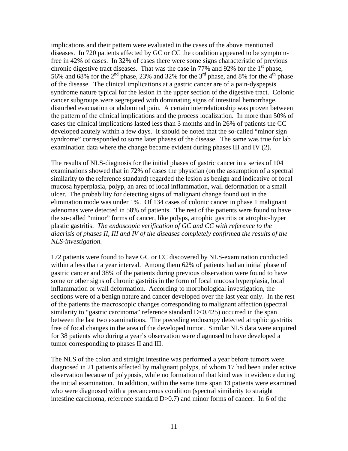implications and their pattern were evaluated in the cases of the above mentioned diseases. In 720 patients affected by GC or CC the condition appeared to be symptomfree in 42% of cases. In 32% of cases there were some signs characteristic of previous chronic digestive tract diseases. That was the case in 77% and 92% for the  $1<sup>st</sup>$  phase, 56% and 68% for the  $2<sup>nd</sup>$  phase, 23% and 32% for the 3<sup>rd</sup> phase, and 8% for the 4<sup>th</sup> phase of the disease. The clinical implications at a gastric cancer are of a pain-dyspepsis syndrome nature typical for the lesion in the upper section of the digestive tract. Colonic cancer subgroups were segregated with dominating signs of intestinal hemorrhage, disturbed evacuation or abdominal pain. A certain interrelationship was proven between the pattern of the clinical implications and the process localization. In more than 50% of cases the clinical implications lasted less than 3 months and in 26% of patients the CC developed acutely within a few days. It should be noted that the so-called "minor sign syndrome" corresponded to some later phases of the disease. The same was true for lab examination data where the change became evident during phases III and IV (2).

The results of NLS-diagnosis for the initial phases of gastric cancer in a series of 104 examinations showed that in 72% of cases the physician (on the assumption of a spectral similarity to the reference standard) regarded the lesion as benign and indicative of focal mucosa hyperplasia, polyp, an area of local inflammation, wall deformation or a small ulcer. The probability for detecting signs of malignant change found out in the elimination mode was under 1%. Of 134 cases of colonic cancer in phase 1 malignant adenomas were detected in 58% of patients. The rest of the patients were found to have the so-called "minor" forms of cancer, like polyps, atrophic gastritis or atrophic-hyper plastic gastritis. *The endoscopic verification of GC and CC with reference to the diacrisis of phases II, III and IV of the diseases completely confirmed the results of the NLS-investigation.* 

172 patients were found to have GC or CC discovered by NLS-examination conducted within a less than a year interval. Among them 62% of patients had an initial phase of gastric cancer and 38% of the patients during previous observation were found to have some or other signs of chronic gastritis in the form of focal mucosa hyperplasia, local inflammation or wall deformation. According to morphological investigation, the sections were of a benign nature and cancer developed over the last year only. In the rest of the patients the macroscopic changes corresponding to malignant affection (spectral similarity to "gastric carcinoma" reference standard D<0.425) occurred in the span between the last two examinations. The preceding endoscopy detected atrophic gastritis free of focal changes in the area of the developed tumor. Similar NLS data were acquired for 38 patients who during a year's observation were diagnosed to have developed a tumor corresponding to phases II and III.

The NLS of the colon and straight intestine was performed a year before tumors were diagnosed in 21 patients affected by malignant polyps, of whom 17 had been under active observation because of polyposis, while no formation of that kind was in evidence during the initial examination. In addition, within the same time span 13 patients were examined who were diagnosed with a precancerous condition (spectral similarity to straight intestine carcinoma, reference standard D>0.7) and minor forms of cancer. In 6 of the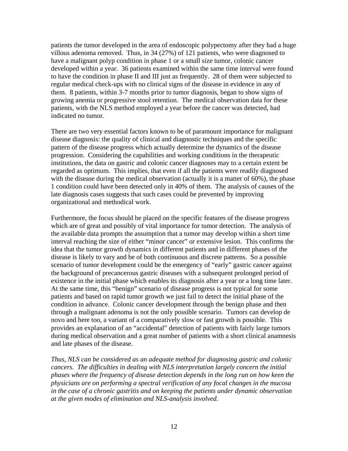patients the tumor developed in the area of endoscopic polypectomy after they had a huge villous adenoma removed. Thus, in 34 (27%) of 121 patients, who were diagnosed to have a malignant polyp condition in phase 1 or a small size tumor, colonic cancer developed within a year. 36 patients examined within the same time interval were found to have the condition in phase II and III just as frequently. 28 of them were subjected to regular medical check-ups with no clinical signs of the disease in evidence in any of them. 8 patients, within 3-7 months prior to tumor diagnosis, began to show signs of growing anemia or progressive stool retention. The medical observation data for these patients, with the NLS method employed a year before the cancer was detected, had indicated no tumor.

There are two very essential factors known to be of paramount importance for malignant disease diagnosis: the quality of clinical and diagnostic techniques and the specific pattern of the disease progress which actually determine the dynamics of the disease progression. Considering the capabilities and working conditions in the therapeutic institutions, the data on gastric and colonic cancer diagnoses may to a certain extent be regarded as optimum. This implies, that even if all the patients were readily diagnosed with the disease during the medical observation (actually it is a matter of 60%), the phase 1 condition could have been detected only in 40% of them. The analysis of causes of the late diagnosis cases suggests that such cases could be prevented by improving organizational and methodical work.

Furthermore, the focus should be placed on the specific features of the disease progress which are of great and possibly of vital importance for tumor detection. The analysis of the available data prompts the assumption that a tumor may develop within a short time interval reaching the size of either "minor cancer" or extensive lesion. This confirms the idea that the tumor growth dynamics in different patients and in different phases of the disease is likely to vary and be of both continuous and discrete patterns. So a possible scenario of tumor development could be the emergency of "early" gastric cancer against the background of precancerous gastric diseases with a subsequent prolonged period of existence in the initial phase which enables its diagnosis after a year or a long time later. At the same time, this "benign" scenario of disease progress is not typical for some patients and based on rapid tumor growth we just fail to detect the initial phase of the condition in advance. Colonic cancer development through the benign phase and then through a malignant adenoma is not the only possible scenario. Tumors can develop de novo and here too, a variant of a comparatively slow or fast growth is possible. This provides an explanation of an "accidental" detection of patients with fairly large tumors during medical observation and a great number of patients with a short clinical anamnesis and late phases of the disease.

*Thus, NLS can be considered as an adequate method for diagnosing gastric and colonic cancers. The difficulties in dealing with NLS interpretation largely concern the initial phases where the frequency of disease detection depends in the long run on how keen the physicians are on performing a spectral verification of any focal changes in the mucosa in the case of a chronic gastritis and on keeping the patients under dynamic observation at the given modes of elimination and NLS-analysis involved.*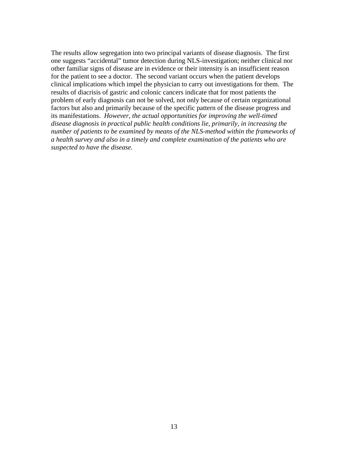The results allow segregation into two principal variants of disease diagnosis. The first one suggests "accidental" tumor detection during NLS-investigation; neither clinical nor other familiar signs of disease are in evidence or their intensity is an insufficient reason for the patient to see a doctor. The second variant occurs when the patient develops clinical implications which impel the physician to carry out investigations for them. The results of diacrisis of gastric and colonic cancers indicate that for most patients the problem of early diagnosis can not be solved, not only because of certain organizational factors but also and primarily because of the specific pattern of the disease progress and its manifestations. *However, the actual opportunities for improving the well-timed disease diagnosis in practical public health conditions lie, primarily, in increasing the number of patients to be examined by means of the NLS-method within the frameworks of a health survey and also in a timely and complete examination of the patients who are suspected to have the disease.*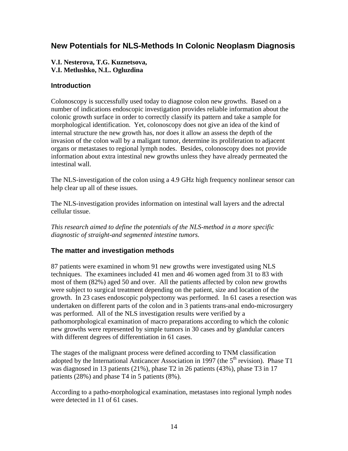### <span id="page-13-0"></span>**New Potentials for NLS-Methods In Colonic Neoplasm Diagnosis**

#### **V.I. Nesterova, T.G. Kuznetsova, V.I. Metlushko, N.L. Ogluzdina**

#### **Introduction**

Colonoscopy is successfully used today to diagnose colon new growths. Based on a number of indications endoscopic investigation provides reliable information about the colonic growth surface in order to correctly classify its pattern and take a sample for morphological identification. Yet, colonoscopy does not give an idea of the kind of internal structure the new growth has, nor does it allow an assess the depth of the invasion of the colon wall by a maligant tumor, determine its proliferation to adjacent organs or metastases to regional lymph nodes. Besides, colonoscopy does not provide information about extra intestinal new growths unless they have already permeated the intestinal wall.

The NLS-investigation of the colon using a 4.9 GHz high frequency nonlinear sensor can help clear up all of these issues.

The NLS-investigation provides information on intestinal wall layers and the adrectal cellular tissue.

*This research aimed to define the potentials of the NLS-method in a more specific diagnostic of straight-and segmented intestine tumors.* 

### **The matter and investigation methods**

87 patients were examined in whom 91 new growths were investigated using NLS techniques. The examinees included 41 men and 46 women aged from 31 to 83 with most of them (82%) aged 50 and over. All the patients affected by colon new growths were subject to surgical treatment depending on the patient, size and location of the growth. In 23 cases endoscopic polypectomy was performed. In 61 cases a resection was undertaken on different parts of the colon and in 3 patients trans-anal endo-microsurgery was performed. All of the NLS investigation results were verified by a pathomorphological examination of macro preparations according to which the colonic new growths were represented by simple tumors in 30 cases and by glandular cancers with different degrees of differentiation in 61 cases.

The stages of the malignant process were defined according to TNM classification adopted by the International Anticancer Association in 1997 (the  $5<sup>th</sup>$  revision). Phase T1 was diagnosed in 13 patients (21%), phase T2 in 26 patients (43%), phase T3 in 17 patients (28%) and phase T4 in 5 patients (8%).

According to a patho-morphological examination, metastases into regional lymph nodes were detected in 11 of 61 cases.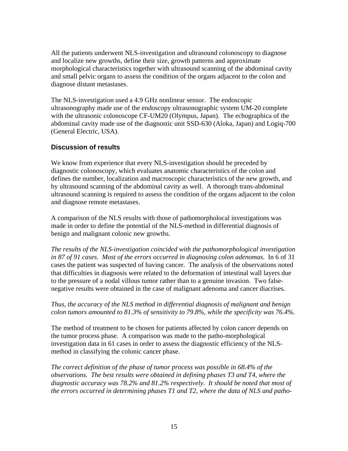<span id="page-14-0"></span>All the patients underwent NLS-investigation and ultrasound colonoscopy to diagnose and localize new growths, define their size, growth patterns and approximate morphological characteristics together with ultrasound scanning of the abdominal cavity and small pelvic organs to assess the condition of the organs adjacent to the colon and diagnose distant metastases.

The NLS-investigation used a 4.9 GHz nonlinear sensor. The endoscopic ultrasonography made use of the endoscopy ultrasonographic system UM-20 complete with the ultrasonic colonoscope CF-UM20 (Olympus, Japan). The echographica of the abdominal cavity made use of the diagnostic unit SSD-630 (Aloka, Japan) and Logiq-700 (General Electric, USA).

### **Discussion of results**

We know from experience that every NLS-investigation should be preceded by diagnostic colonoscopy, which evaluates anatomic characteristics of the colon and defines the number, localization and macroscopic characteristics of the new growth, and by ultrasound scanning of the abdominal cavity as well. A thorough trans-abdominal ultrasound scanning is required to assess the condition of the organs adjacent to the colon and diagnose remote metastases.

A comparison of the NLS results with those of pathomorpholocal investigations was made in order to define the potential of the NLS-method in differential diagnosis of benign and malignant colonic new growths.

*The results of the NLS-investigation coincided with the pathomorphological investigation in 87 of 91 cases. Most of the errors occurred in diagnosing colon adenomas*. In 6 of 31 cases the patient was suspected of having cancer. The analysis of the observations noted that difficulties in diagnosis were related to the deformation of intestinal wall layers due to the pressure of a nodal villous tumor rather than to a genuine invasion. Two falsenegative results were obtained in the case of malignant adenoma and cancer diacrises.

#### *Thus, the accuracy of the NLS method in differential diagnosis of malignant and benign colon tumors amounted to 81.3% of sensitivity to 79.8%, while the specificity was 76.4%.*

The method of treatment to be chosen for patients affected by colon cancer depends on the tumor process phase. A comparison was made to the patho-morphological investigation data in 61 cases in order to assess the diagnostic efficiency of the NLSmethod in classifying the colonic cancer phase.

*The correct definition of the phase of tumor process was possible in 68.4% of the observations. The best results were obtained in defining phases T3 and T4, where the diagnostic accuracy was 78.2% and 81.2% respectively. It should be noted that most of the errors occurred in determining phases T1 and T2, where the data of NLS and patho-*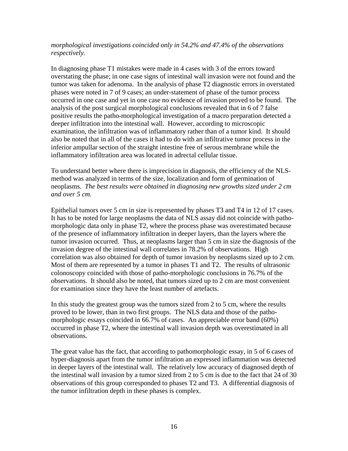*morphological investigations coincided only in 54.2% and 47.4% of the observations respectively.*

In diagnosing phase T1 mistakes were made in 4 cases with 3 of the errors toward overstating the phase; in one case signs of intestinal wall invasion were not found and the tumor was taken for adenoma. In the analysis of phase T2 diagnostic errors in overstated phases were noted in 7 of 9 cases; an under-statement of phase of the tumor process occurred in one case and yet in one case no evidence of invasion proved to be found. The analysis of the post surgical morphological conclusions revealed that in 6 of 7 false positive results the patho-morphological investigation of a macro preparation detected a deeper infiltration into the intestinal wall. However, according to microscopic examination, the infiltration was of inflammatory rather than of a tumor kind. It should also be noted that in all of the cases it had to do with an infiltrative tumor process in the inferior ampullar section of the straight intestine free of serous membrane while the inflammatory infiltration area was located in adrectal cellular tissue.

To understand better where there is imprecision in diagnosis, the efficiency of the NLSmethod was analyzed in terms of the size, localization and form of germination of neoplasms. *The best results were obtained in diagnosing new growths sized under 2 cm and over 5 cm.*

Epithelial tumors over 5 cm in size is represented by phases T3 and T4 in 12 of 17 cases. It has to be noted for large neoplasms the data of NLS assay did not coincide with pathomorphologic data only in phase T2, where the process phase was overestimated because of the presence of inflammatory infiltration in deeper layers, than the layers where the tumor invasion occurred. Thus, at neoplasms larger than 5 cm in size the diagnosis of the invasion degree of the intestinal wall correlates in 78.2% of observations. High correlation was also obtained for depth of tumor invasion by neoplasms sized up to 2 cm. Most of them are represented by a tumor in phases T1 and T2. The results of ultrasonic colonoscopy coincided with those of patho-morphologic conclusions in 76.7% of the observations. It should also be noted, that tumors sized up to 2 cm are most convenient for examination since they have the least number of artefacts.

In this study the greatest group was the tumors sized from 2 to 5 cm, where the results proved to be lower, than in two first groups. The NLS data and those of the pathomorphologic essays coincided in 66.7% of cases. An appreciable error band (60%) occurred in phase T2, where the intestinal wall invasion depth was overestimated in all observations.

The great value has the fact, that according to pathomorphologic essay, in 5 of 6 cases of hyper-diagnosis apart from the tumor infiltration an expressed inflammation was detected in deeper layers of the intestinal wall. The relatively low accuracy of diagnosed depth of the intestinal wall invasion by a tumor sized from 2 to 5 cm is due to the fact that 24 of 30 observations of this group corresponded to phases T2 and T3. A differential diagnosis of the tumor infiltration depth in these phases is complex.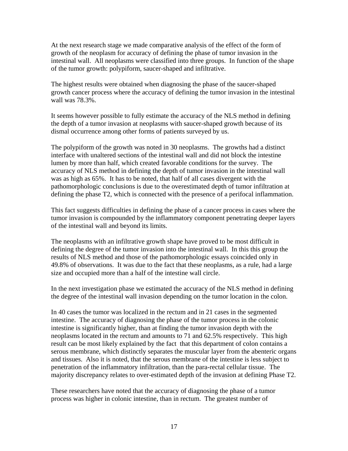At the next research stage we made comparative analysis of the effect of the form of growth of the neoplasm for accuracy of defining the phase of tumor invasion in the intestinal wall. All neoplasms were classified into three groups. In function of the shape of the tumor growth: polypiform, saucer-shaped and infiltrative.

The highest results were obtained when diagnosing the phase of the saucer-shaped growth cancer process where the accuracy of defining the tumor invasion in the intestinal wall was 78.3%.

It seems however possible to fully estimate the accuracy of the NLS method in defining the depth of a tumor invasion at neoplasms with saucer-shaped growth because of its dismal occurrence among other forms of patients surveyed by us.

The polypiform of the growth was noted in 30 neoplasms. The growths had a distinct interface with unaltered sections of the intestinal wall and did not block the intestine lumen by more than half, which created favorable conditions for the survey. The accuracy of NLS method in defining the depth of tumor invasion in the intestinal wall was as high as 65%. It has to be noted, that half of all cases divergent with the pathomorphologic conclusions is due to the overestimated depth of tumor infiltration at defining the phase T2, which is connected with the presence of a perifocal inflammation.

This fact suggests difficulties in defining the phase of a cancer process in cases where the tumor invasion is compounded by the inflammatory component penetrating deeper layers of the intestinal wall and beyond its limits.

The neoplasms with an infiltrative growth shape have proved to be most difficult in defining the degree of the tumor invasion into the intestinal wall. In this this group the results of NLS method and those of the pathomorphologic essays coincided only in 49.8% of observations. It was due to the fact that these neoplasms, as a rule, had a large size and occupied more than a half of the intestine wall circle.

In the next investigation phase we estimated the accuracy of the NLS method in defining the degree of the intestinal wall invasion depending on the tumor location in the colon.

In 40 cases the tumor was localized in the rectum and in 21 cases in the segmented intestine. The accuracy of diagnosing the phase of the tumor process in the colonic intestine is significantly higher, than at finding the tumor invasion depth with the neoplasms located in the rectum and amounts to 71 and 62.5% respectively. This high result can be most likely explained by the fact that this department of colon contains a serous membrane, which distinctly separates the muscular layer from the abenteric organs and tissues. Also it is noted, that the serous membrane of the intestine is less subject to penetration of the inflammatory infiltration, than the para-rectal cellular tissue. The majority discrepancy relates to over-estimated depth of the invasion at defining Phase T2.

These researchers have noted that the accuracy of diagnosing the phase of a tumor process was higher in colonic intestine, than in rectum. The greatest number of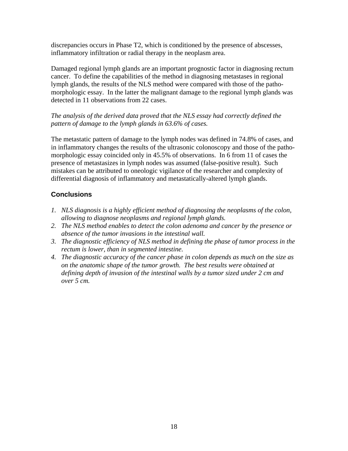<span id="page-17-0"></span>discrepancies occurs in Phase T2, which is conditioned by the presence of abscesses, inflammatory infiltration or radial therapy in the neoplasm area.

Damaged regional lymph glands are an important prognostic factor in diagnosing rectum cancer. To define the capabilities of the method in diagnosing metastases in regional lymph glands, the results of the NLS method were compared with those of the pathomorphologic essay. In the latter the malignant damage to the regional lymph glands was detected in 11 observations from 22 cases.

*The analysis of the derived data proved that the NLS essay had correctly defined the pattern of damage to the lymph glands in 63.6% of cases.* 

The metastatic pattern of damage to the lymph nodes was defined in 74.8% of cases, and in inflammatory changes the results of the ultrasonic colonoscopy and those of the pathomorphologic essay coincided only in 45.5% of observations. In 6 from 11 of cases the presence of metastasizes in lymph nodes was assumed (false-positive result). Such mistakes can be attributed to oneologic vigilance of the researcher and complexity of differential diagnosis of inflammatory and metastatically-altered lymph glands.

### **Conclusions**

- *1. NLS diagnosis is a highly efficient method of diagnosing the neoplasms of the colon, allowing to diagnose neoplasms and regional lymph glands.*
- *2. The NLS method enables to detect the colon adenoma and cancer by the presence or absence of the tumor invasions in the intestinal wall.*
- *3. The diagnostic efficiency of NLS method in defining the phase of tumor process in the rectum is lower, than in segmented intestine.*
- *4. The diagnostic accuracy of the cancer phase in colon depends as much on the size as on the anatomic shape of the tumor growth. The best results were obtained at defining depth of invasion of the intestinal walls by a tumor sized under 2 cm and over 5 cm.*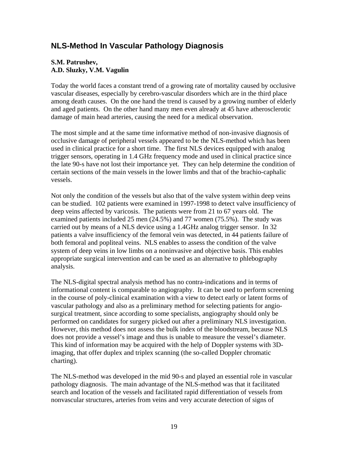### <span id="page-18-0"></span>**NLS-Method In Vascular Pathology Diagnosis**

#### **S.M. Patrushev, A.D. Sluzky, V.M. Vagulin**

Today the world faces a constant trend of a growing rate of mortality caused by occlusive vascular diseases, especially by cerebro-vascular disorders which are in the third place among death causes. On the one hand the trend is caused by a growing number of elderly and aged patients. On the other hand many men even already at 45 have atherosclerotic damage of main head arteries, causing the need for a medical observation.

The most simple and at the same time informative method of non-invasive diagnosis of occlusive damage of peripheral vessels appeared to be the NLS-method which has been used in clinical practice for a short time. The first NLS devices equipped with analog trigger sensors, operating in 1.4 GHz frequency mode and used in clinical practice since the late 90-s have not lost their importance yet. They can help determine the condition of certain sections of the main vessels in the lower limbs and that of the brachio-caphalic vessels.

Not only the condition of the vessels but also that of the valve system within deep veins can be studied. 102 patients were examined in 1997-1998 to detect valve insufficiency of deep veins affected by varicosis. The patients were from 21 to 67 years old. The examined patients included 25 men (24.5%) and 77 women (75.5%). The study was carried out by means of a NLS device using a 1.4GHz analog trigger sensor. In 32 patients a valve insufficiency of the femoral vein was detected, in 44 patients failure of both femoral and popliteal veins. NLS enables to assess the condition of the valve system of deep veins in low limbs on a noninvasive and objective basis. This enables appropriate surgical intervention and can be used as an alternative to phlebography analysis.

The NLS-digital spectral analysis method has no contra-indications and in terms of informational content is comparable to angiography. It can be used to perform screening in the course of poly-clinical examination with a view to detect early or latent forms of vascular pathology and also as a preliminary method for selecting patients for angiosurgical treatment, since according to some specialists, angiography should only be performed on candidates for surgery picked out after a preliminary NLS investigation. However, this method does not assess the bulk index of the bloodstream, because NLS does not provide a vessel's image and thus is unable to measure the vessel's diameter. This kind of information may be acquired with the help of Doppler systems with 3Dimaging, that offer duplex and triplex scanning (the so-called Doppler chromatic charting).

The NLS-method was developed in the mid 90-s and played an essential role in vascular pathology diagnosis. The main advantage of the NLS-method was that it facilitated search and location of the vessels and facilitated rapid differentiation of vessels from nonvascular structures, arteries from veins and very accurate detection of signs of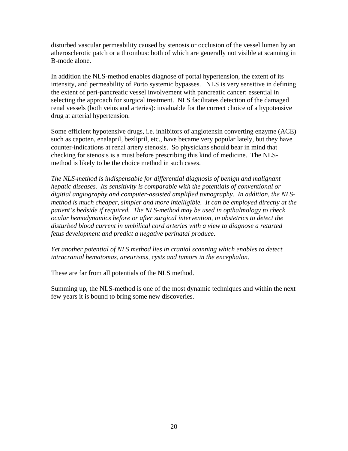disturbed vascular permeability caused by stenosis or occlusion of the vessel lumen by an atherosclerotic patch or a thrombus: both of which are generally not visible at scanning in B-mode alone.

In addition the NLS-method enables diagnose of portal hypertension, the extent of its intensity, and permeability of Porto systemic bypasses. NLS is very sensitive in defining the extent of peri-pancreatic vessel involvement with pancreatic cancer: essential in selecting the approach for surgical treatment. NLS facilitates detection of the damaged renal vessels (both veins and arteries): invaluable for the correct choice of a hypotensive drug at arterial hypertension.

Some efficient hypotensive drugs, i.e. inhibitors of angiotensin converting enzyme (ACE) such as capoten, enalapril, bezlipril, etc., have became very popular lately, but they have counter-indications at renal artery stenosis. So physicians should bear in mind that checking for stenosis is a must before prescribing this kind of medicine. The NLSmethod is likely to be the choice method in such cases.

*The NLS-method is indispensable for differential diagnosis of benign and malignant hepatic diseases. Its sensitivity is comparable with the potentials of conventional or digitial angiography and computer-assisted amplified tomography. In addition, the NLSmethod is much cheaper, simpler and more intelligible. It can be employed directly at the patient's bedside if required. The NLS-method may be used in opthalmology to check ocular hemodynamics before or after surgical intervention, in obstetrics to detect the disturbed blood current in umbilical cord arteries with a view to diagnose a retarted fetus development and predict a negative perinatal produce.* 

*Yet another potential of NLS method lies in cranial scanning which enables to detect intracranial hematomas, aneurisms, cysts and tumors in the encephalon*.

These are far from all potentials of the NLS method.

Summing up, the NLS-method is one of the most dynamic techniques and within the next few years it is bound to bring some new discoveries.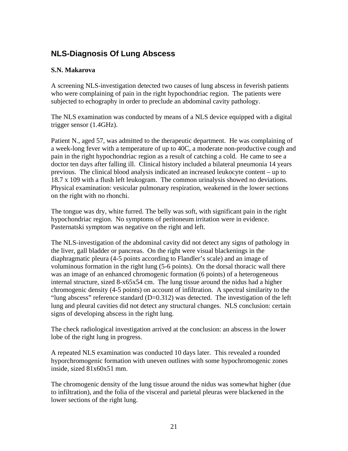### <span id="page-20-0"></span>**NLS-Diagnosis Of Lung Abscess**

### **S.N. Makarova**

A screening NLS-investigation detected two causes of lung abscess in feverish patients who were complaining of pain in the right hypochondriac region. The patients were subjected to echography in order to preclude an abdominal cavity pathology.

The NLS examination was conducted by means of a NLS device equipped with a digital trigger sensor (1.4GHz).

Patient N., aged 57, was admitted to the therapeutic department. He was complaining of a week-long fever with a temperature of up to 40C, a moderate non-productive cough and pain in the right hypochondriac region as a result of catching a cold. He came to see a doctor ten days after falling ill. Clinical history included a bilateral pneumonia 14 years previous. The clinical blood analysis indicated an increased leukocyte content – up to 18.7 x 109 with a flush left leukogram. The common urinalysis showed no deviations. Physical examination: vesicular pulmonary respiration, weakened in the lower sections on the right with no rhonchi.

The tongue was dry, white furred. The belly was soft, with significant pain in the right hypochondriac region. No symptoms of peritoneum irritation were in evidence. Pasternatski symptom was negative on the right and left.

The NLS-investigation of the abdominal cavity did not detect any signs of pathology in the liver, gall bladder or pancreas. On the right were visual blackenings in the diaphragmatic pleura (4-5 points according to Flandler's scale) and an image of voluminous formation in the right lung (5-6 points). On the dorsal thoracic wall there was an image of an enhanced chromogenic formation (6 points) of a heterogeneous internal structure, sized 8-x65x54 cm. The lung tissue around the nidus had a higher chromogenic density (4-5 points) on account of infiltration. A spectral similarity to the "lung abscess" reference standard  $(D=0.312)$  was detected. The investigation of the left lung and pleural cavities did not detect any structural changes. NLS conclusion: certain signs of developing abscess in the right lung.

The check radiological investigation arrived at the conclusion: an abscess in the lower lobe of the right lung in progress.

A repeated NLS examination was conducted 10 days later. This revealed a rounded hyporchromogenic formation with uneven outlines with some hypochromogenic zones inside, sized 81x60x51 mm.

The chromogenic density of the lung tissue around the nidus was somewhat higher (due to infiltration), and the folia of the visceral and parietal pleuras were blackened in the lower sections of the right lung.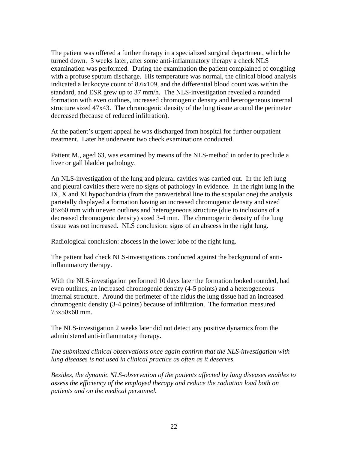The patient was offered a further therapy in a specialized surgical department, which he turned down. 3 weeks later, after some anti-inflammatory therapy a check NLS examination was performed. During the examination the patient complained of coughing with a profuse sputum discharge. His temperature was normal, the clinical blood analysis indicated a leukocyte count of 8.6x109, and the differential blood count was within the standard, and ESR grew up to 37 mm/h. The NLS-investigation revealed a rounded formation with even outlines, increased chromogenic density and heterogeneous internal structure sized 47x43. The chromogenic density of the lung tissue around the perimeter decreased (because of reduced infiltration).

At the patient's urgent appeal he was discharged from hospital for further outpatient treatment. Later he underwent two check examinations conducted.

Patient M., aged 63, was examined by means of the NLS-method in order to preclude a liver or gall bladder pathology.

An NLS-investigation of the lung and pleural cavities was carried out. In the left lung and pleural cavities there were no signs of pathology in evidence. In the right lung in the IX, X and XI hypochondria (from the paravertebral line to the scapular one) the analysis parietally displayed a formation having an increased chromogenic density and sized 85x60 mm with uneven outlines and heterogeneous structure (due to inclusions of a decreased chromogenic density) sized 3-4 mm. The chromogenic density of the lung tissue was not increased. NLS conclusion: signs of an abscess in the right lung.

Radiological conclusion: abscess in the lower lobe of the right lung.

The patient had check NLS-investigations conducted against the background of antiinflammatory therapy.

With the NLS-investigation performed 10 days later the formation looked rounded, had even outlines, an increased chromogenic density (4-5 points) and a heterogeneous internal structure. Around the perimeter of the nidus the lung tissue had an increased chromogenic density (3-4 points) because of infiltration. The formation measured 73x50x60 mm.

The NLS-investigation 2 weeks later did not detect any positive dynamics from the administered anti-inflammatory therapy.

*The submitted clinical observations once again confirm that the NLS-investigation with lung diseases is not used in clinical practice as often as it deserves.* 

*Besides, the dynamic NLS-observation of the patients affected by lung diseases enables to assess the efficiency of the employed therapy and reduce the radiation load both on patients and on the medical personnel.*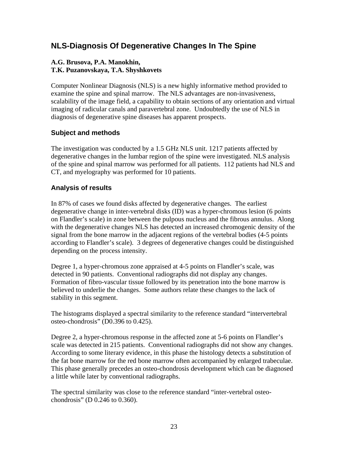### <span id="page-22-0"></span>**NLS-Diagnosis Of Degenerative Changes In The Spine**

#### **A.G. Brusova, P.A. Manokhin, T.K. Puzanovskaya, T.A. Shyshkovets**

Computer Nonlinear Diagnosis (NLS) is a new highly informative method provided to examine the spine and spinal marrow. The NLS advantages are non-invasiveness, scalability of the image field, a capability to obtain sections of any orientation and virtual imaging of radicular canals and paravertebral zone. Undoubtedly the use of NLS in diagnosis of degenerative spine diseases has apparent prospects.

### **Subject and methods**

The investigation was conducted by a 1.5 GHz NLS unit. 1217 patients affected by degenerative changes in the lumbar region of the spine were investigated. NLS analysis of the spine and spinal marrow was performed for all patients. 112 patients had NLS and CT, and myelography was performed for 10 patients.

### **Analysis of results**

In 87% of cases we found disks affected by degenerative changes. The earliest degenerative change in inter-vertebral disks (ID) was a hyper-chromous lesion (6 points on Flandler's scale) in zone between the pulpous nucleus and the fibrous annulus. Along with the degenerative changes NLS has detected an increased chromogenic density of the signal from the bone marrow in the adjacent regions of the vertebral bodies (4-5 points according to Flandler's scale). 3 degrees of degenerative changes could be distinguished depending on the process intensity.

Degree 1, a hyper-chromous zone appraised at 4-5 points on Flandler's scale, was detected in 90 patients. Conventional radiographs did not display any changes. Formation of fibro-vascular tissue followed by its penetration into the bone marrow is believed to underlie the changes. Some authors relate these changes to the lack of stability in this segment.

The histograms displayed a spectral similarity to the reference standard "intervertebral osteo-chondrosis" (D0.396 to 0.425).

Degree 2, a hyper-chromous response in the affected zone at 5-6 points on Flandler's scale was detected in 215 patients. Conventional radiographs did not show any changes. According to some literary evidence, in this phase the histology detects a substitution of the fat bone marrow for the red bone marrow often accompanied by enlarged trabeculae. This phase generally precedes an osteo-chondrosis development which can be diagnosed a little while later by conventional radiographs.

The spectral similarity was close to the reference standard "inter-vertebral osteochondrosis" (D 0.246 to 0.360).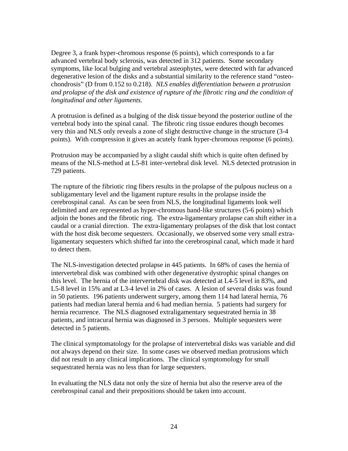Degree 3, a frank hyper-chromous response (6 points), which corresponds to a far advanced vertebral body sclerosis, was detected in 312 patients. Some secondary symptoms, like local bulging and vertebral asteophytes, were detected with far advanced degenerative lesion of the disks and a substantial similarity to the reference stand "osteochondrosis" (D from 0.152 to 0.218). *NLS enables differentiation between a protrusion and prolapse of the disk and existence of rupture of the fibrotic ring and the condition of longitudinal and other ligaments.* 

A protrusion is defined as a bulging of the disk tissue beyond the posterior outline of the vertebral body into the spinal canal. The fibrotic ring tissue endures though becomes very thin and NLS only reveals a zone of slight destructive change in the structure (3-4 points). With compression it gives an acutely frank hyper-chromous response (6 points).

Protrusion may be accompanied by a slight caudal shift which is quite often defined by means of the NLS-method at L5-81 inter-vertebral disk level. NLS detected protrusion in 729 patients.

The rupture of the fibriotic ring fibers results in the prolapse of the pulpous nucleus on a subligamentary level and the ligament rupture results in the prolapse inside the cerebrospinal canal. As can be seen from NLS, the longitudinal ligaments look well delimited and are represented as hyper-chromous band-like structures (5-6 points) which adjoin the bones and the fibrotic ring. The extra-ligamentary prolapse can shift either in a caudal or a cranial direction. The extra-ligamentary prolapses of the disk that lost contact with the host disk become sequesters. Occasionally, we observed some very small extraligamentary sequesters which shifted far into the cerebrospinal canal, which made it hard to detect them.

The NLS-investigation detected prolapse in 445 patients. In 68% of cases the hernia of intervertebral disk was combined with other degenerative dystrophic spinal changes on this level. The hernia of the intervertebral disk was detected at L4-5 level in 83%, and L5-8 level in 15% and at L3-4 level in 2% of cases. A lesion of several disks was found in 50 patients. 196 patients underwent surgery, among them 114 had lateral hernia, 76 patients had median lateral hernia and 6 had median hernia. 5 patients had surgery for hernia recurrence. The NLS diagnosed extraligamentary sequestrated hernia in 38 patients, and intracural hernia was diagnosed in 3 persons. Multiple sequesters were detected in 5 patients.

The clinical symptomatology for the prolapse of intervertebral disks was variable and did not always depend on their size. In some cases we observed median protrusions which did not result in any clinical implications. The clinical symptomology for small sequestrated hernia was no less than for large sequesters.

In evaluating the NLS data not only the size of hernia but also the reserve area of the cerebrospinal canal and their prepositions should be taken into account.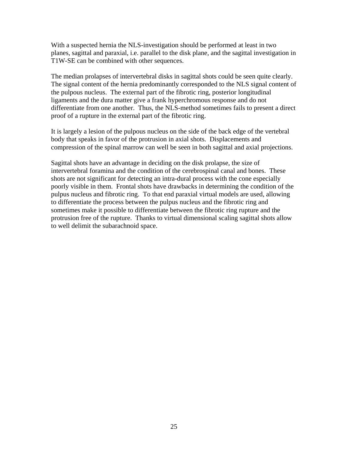With a suspected hernia the NLS-investigation should be performed at least in two planes, sagittal and paraxial, i.e. parallel to the disk plane, and the sagittal investigation in T1W-SE can be combined with other sequences.

The median prolapses of intervertebral disks in sagittal shots could be seen quite clearly. The signal content of the hernia predominantly corresponded to the NLS signal content of the pulpous nucleus. The external part of the fibrotic ring, posterior longitudinal ligaments and the dura matter give a frank hyperchromous response and do not differentiate from one another. Thus, the NLS-method sometimes fails to present a direct proof of a rupture in the external part of the fibrotic ring.

It is largely a lesion of the pulpous nucleus on the side of the back edge of the vertebral body that speaks in favor of the protrusion in axial shots. Displacements and compression of the spinal marrow can well be seen in both sagittal and axial projections.

Sagittal shots have an advantage in deciding on the disk prolapse, the size of intervertebral foramina and the condition of the cerebrospinal canal and bones. These shots are not significant for detecting an intra-dural process with the cone especially poorly visible in them. Frontal shots have drawbacks in determining the condition of the pulpus nucleus and fibrotic ring. To that end paraxial virtual models are used, allowing to differentiate the process between the pulpus nucleus and the fibrotic ring and sometimes make it possible to differentiate between the fibrotic ring rupture and the protrusion free of the rupture. Thanks to virtual dimensional scaling sagittal shots allow to well delimit the subarachnoid space.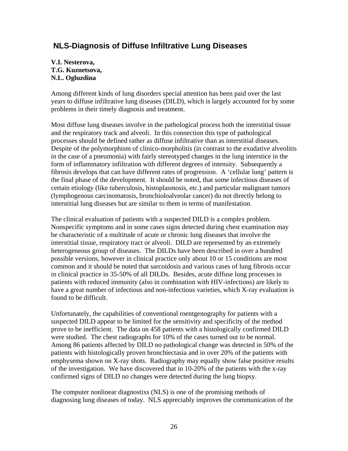### <span id="page-25-0"></span> **NLS-Diagnosis of Diffuse Infiltrative Lung Diseases**

#### **V.I. Nesterova, T.G. Kuznetsova, N.L. Ogluzdina**

Among different kinds of lung disorders special attention has been paid over the last years to diffuse infiltrative lung diseases (DILD), which is largely accounted for by some problems in their timely diagnosis and treatment.

Most diffuse lung diseases involve in the pathological process both the interstitial tissue and the respiratory track and alveoli. In this connection this type of pathological processes should be defined rather as diffuse infiltrative than as interstitial diseases. Despite of the polymorphism of clinico-morpholitis (in contrast to the exudative alveolitis in the case of a pneumonia) with fairly stereotyped changes in the lung interstice in the form of inflammatory infiltration with different degrees of intensity. Subsequently a fibrosis develops that can have different rates of progression. A 'cellular lung' pattern is the final phase of the development. It should be noted, that some infectious diseases of certain etiology (like tuberculosis, histoplasmosis, etc.) and particular malignant tumors (lymphogenous carcinomatosis, bronchioloalveolar cancer) do not directly belong to interstitial lung diseases but are similar to them in terms of manifestation.

The clinical evaluation of patients with a suspected DILD is a complex problem. Nonspecific symptoms and in some cases signs detected during chest examination may be characteristic of a multitude of acute or chronic lung diseases that involve the interstitial tissue, respiratory tract or alveoli. DILD are represented by an extremely heterogeneous group of diseases. The DILDs have been described in over a hundred possible versions, however in clinical practice only about 10 or 15 conditions are most common and it should be noted that sarcoidosis and various cases of lung fibrosis occur in clinical practice in 35-50% of all DILDs. Besides, acute diffuse lung processes in patients with reduced immunity (also in combination with HIV-infections) are likely to have a great number of infectious and non-infectious varieties, which X-ray evaluation is found to be difficult.

Unfortunately, the capabilities of conventional roentgenography for patients with a suspected DILD appear to be limited for the sensitivity and specificity of the method prove to be inefficient. The data on 458 patients with a histologically confirmed DILD were studied. The chest radiographs for 10% of the cases turned out to be normal. Among 86 patients affected by DILD no pathological change was detected in 50% of the patients with histologically proven bronchiectasia and in over 20% of the patients with emphysema shown on X-ray shots. Radiography may equally show false positive results of the investigation. We have discovered that in 10-20% of the patients with the x-ray confirmed signs of DILD no changes were detected during the lung biopsy.

The computer nonlinear diagnostixs (NLS) is one of the promising methods of diagnosing lung diseases of today. NLS appreciably improves the communication of the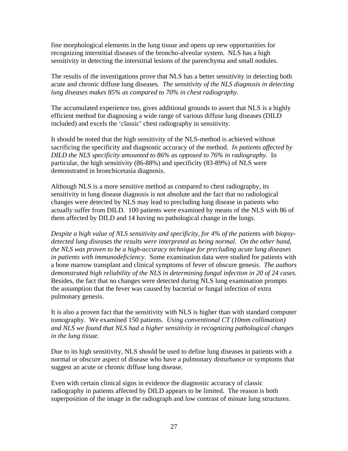fine morphological elements in the lung tissue and opens up new opportunities for recognizing interstitial diseases of the broncho-alveolar system. NLS has a high sensitivity in detecting the interstitial lesions of the parenchyma and small nodules.

The results of the investigations prove that NLS has a better sensitivity in detecting both acute and chronic diffuse lung diseases*. The sensitivity of the NLS diagnosis in detecting lung diseases makes 85% as compared to 70% in chest radiography*.

The accumulated experience too, gives additional grounds to assert that NLS is a highly efficient method for diagnosing a wide range of various diffuse lung diseases (DILD included) and excels the 'classic' chest radiography in sensitivity.

It should be noted that the high sensitivity of the NLS-method is achieved without sacrificing the specificity and diagnostic accuracy of the method. *In patients affected by DILD the NLS specificity amounted to 86% as opposed to 76% in radiography*. In particular, the high sensitivity (86-88%) and specificity (83-89%) of NLS were demonstrated in bronchicetasia diagnosis.

Although NLS is a more sensitive method as compared to chest radiography, its sensitivity in lung disease diagnosis is not absolute and the fact that no radiological changes were detected by NLS may lead to precluding lung disease in patients who actually suffer from DILD. 100 patients were examined by means of the NLS with 86 of them affected by DILD and 14 having no pathological change in the lungs.

*Despite a high value of NLS sensitivity and specificity, for 4% of the patients with biopsydetected lung diseases the results were interpreted as being normal. On the other hand, the NLS was proven to be a high-accuracy technique for precluding acute lung diseases in patients with immunodeficiency*. Some examination data were studied for patients with a bone marrow transplant and clinical symptoms of fever of obscure genesis. *The authors demonstrated high reliability of the NLS in determining fungal infection in 20 of 24 cases.* Besides, the fact that no changes were detected during NLS lung examination prompts the assumption that the fever was caused by bacterial or fungal infection of extra pulmonary genesis.

It is also a proven fact that the sensitivity with NLS is higher than with standard computer tomography. We examined 150 patients. *Using conventional CT (10mm collimation) and NLS we found that NLS had a higher sensitivity in recognizing pathological changes in the lung tissue.* 

Due to its high sensitivity, NLS should be used to define lung diseases in patients with a normal or obscure aspect of disease who have a pulmonary disturbance or symptoms that suggest an acute or chronic diffuse lung disease.

Even with certain clinical signs in evidence the diagnostic accuracy of classic radiography in patients affected by DILD appears to be limited. The reason is both superposition of the image in the radiograph and low contrast of minute lung structures.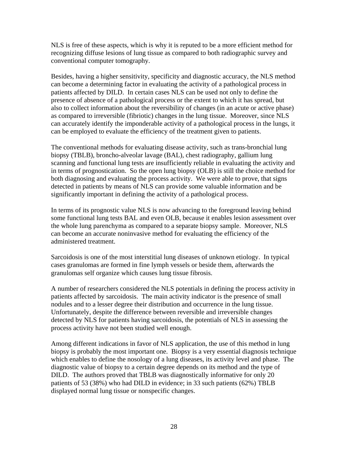NLS is free of these aspects, which is why it is reputed to be a more efficient method for recognizing diffuse lesions of lung tissue as compared to both radiographic survey and conventional computer tomography.

Besides, having a higher sensitivity, specificity and diagnostic accuracy, the NLS method can become a determining factor in evaluating the activity of a pathological process in patients affected by DILD. In certain cases NLS can be used not only to define the presence of absence of a pathological process or the extent to which it has spread, but also to collect information about the reversibility of changes (in an acute or active phase) as compared to irreversible (fibriotic) changes in the lung tissue. Moreover, since NLS can accurately identify the imponderable activity of a pathological process in the lungs, it can be employed to evaluate the efficiency of the treatment given to patients.

The conventional methods for evaluating disease activity, such as trans-bronchial lung biopsy (TBLB), broncho-alveolar lavage (BAL), chest radiography, gallium lung scanning and functional lung tests are insufficiently reliable in evaluating the activity and in terms of prognostication. So the open lung biopsy (OLB) is still the choice method for both diagnosing and evaluating the process activity. We were able to prove, that signs detected in patients by means of NLS can provide some valuable information and be significantly important in defining the activity of a pathological process.

In terms of its prognostic value NLS is now advancing to the foreground leaving behind some functional lung tests BAL and even OLB, because it enables lesion assessment over the whole lung parenchyma as compared to a separate biopsy sample. Moreover, NLS can become an accurate noninvasive method for evaluating the efficiency of the administered treatment.

Sarcoidosis is one of the most interstitial lung diseases of unknown etiology. In typical cases granulomas are formed in fine lymph vessels or beside them, afterwards the granulomas self organize which causes lung tissue fibrosis.

A number of researchers considered the NLS potentials in defining the process activity in patients affected by sarcoidosis. The main activity indicator is the presence of small nodules and to a lesser degree their distribution and occurrence in the lung tissue. Unfortunately, despite the difference between reversible and irreversible changes detected by NLS for patients having sarcoidosis, the potentials of NLS in assessing the process activity have not been studied well enough.

Among different indications in favor of NLS application, the use of this method in lung biopsy is probably the most important one. Biopsy is a very essential diagnosis technique which enables to define the nosology of a lung diseases, its activity level and phase. The diagnostic value of biopsy to a certain degree depends on its method and the type of DILD. The authors proved that TBLB was diagnostically informative for only 20 patients of 53 (38%) who had DILD in evidence; in 33 such patients (62%) TBLB displayed normal lung tissue or nonspecific changes.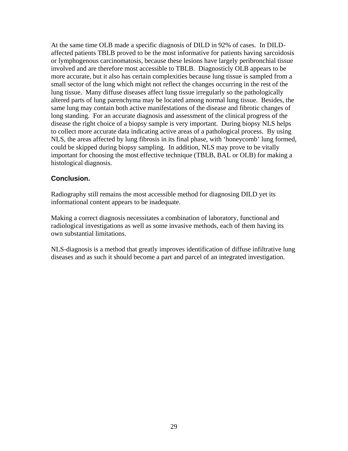<span id="page-28-0"></span>At the same time OLB made a specific diagnosis of DILD in 92% of cases. In DILDaffected patients TBLB proved to be the most informative for patients having sarcoidosis or lymphogenous carcinomatosis, because these lesions have largely peribronchial tissue involved and are therefore most accessible to TBLB. Diagnosticly OLB appears to be more accurate, but it also has certain complexities because lung tissue is sampled from a small sector of the lung which might not reflect the changes occurring in the rest of the lung tissue. Many diffuse diseases affect lung tissue irregularly so the pathologically altered parts of lung parenchyma may be located among normal lung tissue. Besides, the same lung may contain both active manifestations of the disease and fibrotic changes of long standing. For an accurate diagnosis and assessment of the clinical progress of the disease the right choice of a biopsy sample is very important. During biopsy NLS helps to collect more accurate data indicating active areas of a pathological process. By using NLS, the areas affected by lung fibrosis in its final phase, with 'honeycomb' lung formed, could be skipped during biopsy sampling. In addition, NLS may prove to be vitally important for choosing the most effective technique (TBLB, BAL or OLB) for making a histological diagnosis.

### **Conclusion.**

Radiography still remains the most accessible method for diagnosing DILD yet its informational content appears to be inadequate.

Making a correct diagnosis necessitates a combination of laboratory, functional and radiological investigations as well as some invasive methods, each of them having its own substantial limitations.

NLS-diagnosis is a method that greatly improves identification of diffuse infiltrative lung diseases and as such it should become a part and parcel of an integrated investigation.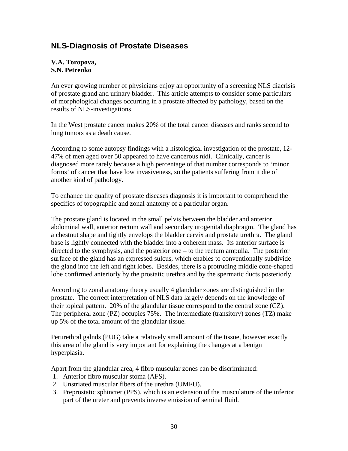### <span id="page-29-0"></span>**NLS-Diagnosis of Prostate Diseases**

#### **V.A. Toropova, S.N. Petrenko**

An ever growing number of physicians enjoy an opportunity of a screening NLS diacrisis of prostate grand and urinary bladder. This article attempts to consider some particulars of morphological changes occurring in a prostate affected by pathology, based on the results of NLS-investigations.

In the West prostate cancer makes 20% of the total cancer diseases and ranks second to lung tumors as a death cause.

According to some autopsy findings with a histological investigation of the prostate, 12- 47% of men aged over 50 appeared to have cancerous nidi. Clinically, cancer is diagnosed more rarely because a high percentage of that number corresponds to 'minor forms' of cancer that have low invasiveness, so the patients suffering from it die of another kind of pathology.

To enhance the quality of prostate diseases diagnosis it is important to comprehend the specifics of topographic and zonal anatomy of a particular organ.

The prostate gland is located in the small pelvis between the bladder and anterior abdominal wall, anterior rectum wall and secondary urogenital diaphragm. The gland has a chestnut shape and tightly envelops the bladder cervix and prostate urethra. The gland base is lightly connected with the bladder into a coherent mass. Its anterior surface is directed to the symphysis, and the posterior one – to the rectum ampulla. The posterior surface of the gland has an expressed sulcus, which enables to conventionally subdivide the gland into the left and right lobes. Besides, there is a protruding middle cone-shaped lobe confirmed anteriorly by the prostatic urethra and by the spermatic ducts posteriorly.

According to zonal anatomy theory usually 4 glandular zones are distinguished in the prostate. The correct interpretation of NLS data largely depends on the knowledge of their topical pattern. 20% of the glandular tissue correspond to the central zone (CZ). The peripheral zone (PZ) occupies 75%. The intermediate (transitory) zones (TZ) make up 5% of the total amount of the glandular tissue.

Perurethral galnds (PUG) take a relatively small amount of the tissue, however exactly this area of the gland is very important for explaining the changes at a benign hyperplasia.

Apart from the glandular area, 4 fibro muscular zones can be discriminated:

- 1. Anterior fibro muscular stoma (AFS).
- 2. Unstriated muscular fibers of the urethra (UMFU).
- 3. Preprostatic sphincter (PPS), which is an extension of the musculature of the inferior part of the ureter and prevents inverse emission of seminal fluid.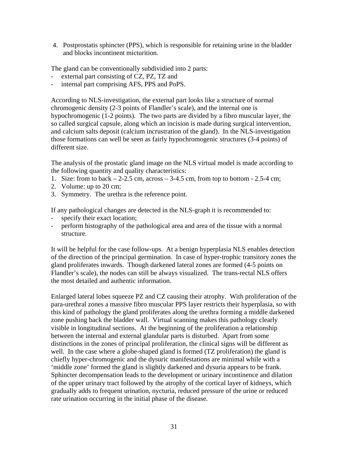4. Postprostatis sphincter (PPS), which is responsible for retaining urine in the bladder and blocks incontinent micturition.

The gland can be conventionally subdividied into 2 parts:

- external part consisting of CZ, PZ, TZ and
- internal part comprising AFS, PPS and PoPS.

According to NLS-investigation, the external part looks like a structure of normal chromogenic density (2-3 points of Flandler's scale), and the internal one is hypochromogenic (1-2 points). The two parts are divided by a fibro muscular layer, the so called surgical capsule, along which an incision is made during surgical intervention, and calcium salts deposit (calcium incrustration of the gland). In the NLS-investigation those formations can well be seen as fairly hypochromogenic structures (3-4 points) of different size.

The analysis of the prostatic gland image on the NLS virtual model is made according to the following quantity and quality characteristics:

- 1. Size: from to back  $-2-2.5$  cm, across  $-3-4.5$  cm, from top to bottom  $-2.5-4$  cm;
- 2. Volume: up to 20 cm;
- 3. Symmetry. The urethra is the reference point.

If any pathological changes are detected in the NLS-graph it is recommended to:

- specify their exact location;
- perform histography of the pathological area and area of the tissue with a normal structure.

It will be helpful for the case follow-ups. At a benign hyperplasia NLS enables detection of the direction of the principal germination. In case of hyper-trophic transitory zones the gland proliferates inwards. Though darkened lateral zones are formed (4-5 points on Flandler's scale), the nodes can still be always visualized. The trans-rectal NLS offers the most detailed and authentic information.

Enlarged lateral lobes squeeze PZ and CZ causing their atrophy. With proliferation of the para-urethral zones a massive fibro muscular PPS layer restricts their hyperplasia, so with this kind of pathology the gland proliferates along the urethra forming a middle darkened zone pushing back the bladder wall. Virtual scanning makes this pathology clearly visible in longitudinal sections. At the beginning of the proliferation a relationship between the internal and external glandular parts is disturbed. Apart from some distinctions in the zones of principal proliferation, the clinical signs will be different as well. In the case where a globe-shaped gland is formed (TZ proliferation) the gland is chiefly hyper-chromogenic and the dysuric manifestations are minimal while with a 'middle zone' formed the gland is slightly darkened and dysuria appears to be frank. Sphincter decompensation leads to the development or urinary incontinence and dilation of the upper urinary tract followed by the atrophy of the cortical layer of kidneys, which gradually adds to frequent urination, nycturia, reduced pressure of the urine or reduced rate urination occurring in the initial phase of the disease.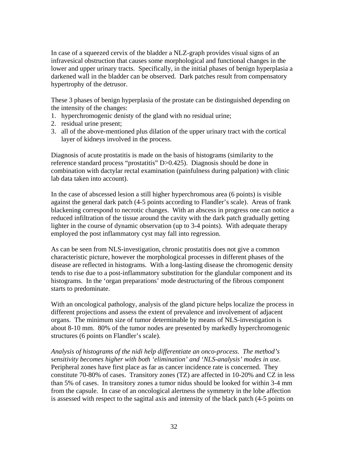In case of a squeezed cervix of the bladder a NLZ-graph provides visual signs of an infravesical obstruction that causes some morphological and functional changes in the lower and upper urinary tracts. Specifically, in the initial phases of benign hyperplasia a darkened wall in the bladder can be observed. Dark patches result from compensatory hypertrophy of the detrusor.

These 3 phases of benign hyperplasia of the prostate can be distinguished depending on the intensity of the changes:

- 1. hyperchromogenic denisty of the gland with no residual urine;
- 2. residual urine present;
- 3. all of the above-mentioned plus dilation of the upper urinary tract with the cortical layer of kidneys involved in the process.

Diagnosis of acute prostatitis is made on the basis of histograms (similarity to the reference standard process "prostatitis" D>0.425). Diagnosis should be done in combination with dactylar rectal examination (painfulness during palpation) with clinic lab data taken into account).

In the case of abscessed lesion a still higher hyperchromous area (6 points) is visible against the general dark patch (4-5 points according to Flandler's scale). Areas of frank blackening correspond to necrotic changes. With an abscess in progress one can notice a reduced infiltration of the tissue around the cavity with the dark patch gradually getting lighter in the course of dynamic observation (up to 3-4 points). With adequate therapy employed the post inflammatory cyst may fall into regression.

As can be seen from NLS-investigation, chronic prostatitis does not give a common characteristic picture, however the morphological processes in different phases of the disease are reflected in histograms. With a long-lasting disease the chromogenic density tends to rise due to a post-inflammatory substitution for the glandular component and its histograms. In the 'organ preparations' mode destructuring of the fibrous component starts to predominate.

With an oncological pathology, analysis of the gland picture helps localize the process in different projections and assess the extent of prevalence and involvement of adjacent organs. The minimum size of tumor determinable by means of NLS-investigation is about 8-10 mm. 80% of the tumor nodes are presented by markedly hyperchromogenic structures (6 points on Flandler's scale).

*Analysis of histograms of the nidi help differentiate an onco-process*. *The method's sensitivity becomes higher with both 'elimination' and 'NLS-analysis' modes in use.* Peripheral zones have first place as far as cancer incidence rate is concerned. They constitute 70-80% of cases. Transitory zones (TZ) are affected in 10-20% and CZ in less than 5% of cases. In transitory zones a tumor nidus should be looked for within 3-4 mm from the capsule. In case of an oncological alertness the symmetry in the lobe affection is assessed with respect to the sagittal axis and intensity of the black patch (4-5 points on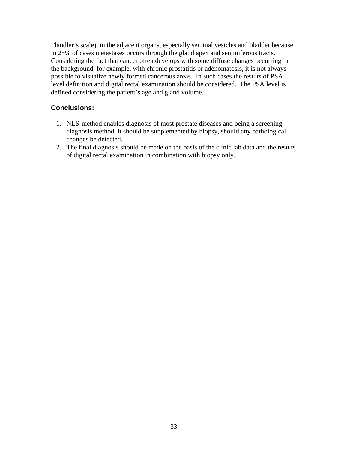<span id="page-32-0"></span>Flandler's scale), in the adjacent organs, especially seminal vesicles and bladder because in 25% of cases metastases occurs through the gland apex and seminiferous tracts. Considering the fact that cancer often develops with some diffuse changes occurring in the background, for example, with chronic prostatitis or adenomatosis, it is not always possible to visualize newly formed cancerous areas. In such cases the results of PSA level definition and digital rectal examination should be considered. The PSA level is defined considering the patient's age and gland volume.

### **Conclusions:**

- 1. NLS-method enables diagnosis of most prostate diseases and being a screening diagnosis method, it should be supplemented by biopsy, should any pathological changes be detected.
- 2. The final diagnosis should be made on the basis of the clinic lab data and the results of digital rectal examination in combination with biopsy only.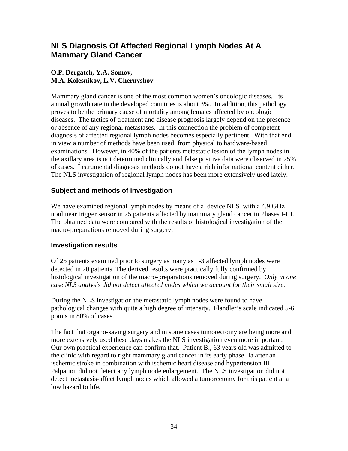### <span id="page-33-0"></span>**NLS Diagnosis Of Affected Regional Lymph Nodes At A Mammary Gland Cancer**

### **O.P. Dergatch, Y.A. Somov, M.A. Kolesnikov, L.V. Chernyshov**

Mammary gland cancer is one of the most common women's oncologic diseases. Its annual growth rate in the developed countries is about 3%. In addition, this pathology proves to be the primary cause of mortality among females affected by oncologic diseases. The tactics of treatment and disease prognosis largely depend on the presence or absence of any regional metastases. In this connection the problem of competent diagnosis of affected regional lymph nodes becomes especially pertinent. With that end in view a number of methods have been used, from physical to hardware-based examinations. However, in 40% of the patients metastatic lesion of the lymph nodes in the axillary area is not determined clinically and false positive data were observed in 25% of cases. Instrumental diagnosis methods do not have a rich informational content either. The NLS investigation of regional lymph nodes has been more extensively used lately.

### **Subject and methods of investigation**

We have examined regional lymph nodes by means of a device NLS with a 4.9 GHz nonlinear trigger sensor in 25 patients affected by mammary gland cancer in Phases I-III. The obtained data were compared with the results of histological investigation of the macro-preparations removed during surgery.

### **Investigation results**

Of 25 patients examined prior to surgery as many as 1-3 affected lymph nodes were detected in 20 patients. The derived results were practically fully confirmed by histological investigation of the macro-preparations removed during surgery. *Only in one case NLS analysis did not detect affected nodes which we account for their small size.* 

During the NLS investigation the metastatic lymph nodes were found to have pathological changes with quite a high degree of intensity. Flandler's scale indicated 5-6 points in 80% of cases.

The fact that organo-saving surgery and in some cases tumorectomy are being more and more extensively used these days makes the NLS investigation even more important. Our own practical experience can confirm that. Patient B., 63 years old was admitted to the clinic with regard to right mammary gland cancer in its early phase IIa after an ischemic stroke in combination with ischemic heart disease and hypertension III. Palpation did not detect any lymph node enlargement. The NLS investigation did not detect metastasis-affect lymph nodes which allowed a tumorectomy for this patient at a low hazard to life.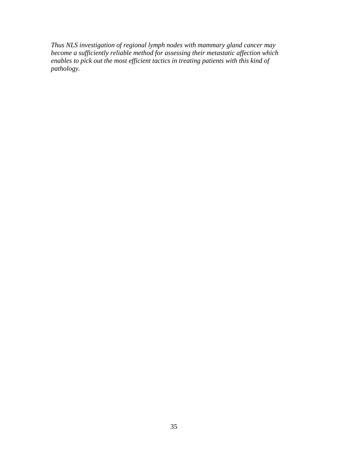*Thus NLS investigation of regional lymph nodes with mammary gland cancer may become a sufficiently reliable method for assessing their metastatic affection which enables to pick out the most efficient tactics in treating patients with this kind of pathology.*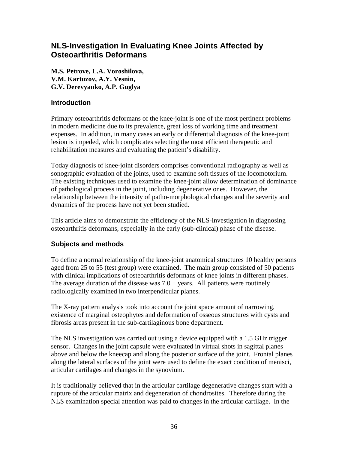### <span id="page-35-0"></span>**NLS-Investigation In Evaluating Knee Joints Affected by Osteoarthritis Deformans**

**M.S. Petrove, L.A. Voroshilova, V.M. Kartuzov, A.Y. Vesnin, G.V. Derevyanko, A.P. Guglya** 

#### **Introduction**

Primary osteoarthritis deformans of the knee-joint is one of the most pertinent problems in modern medicine due to its prevalence, great loss of working time and treatment expenses. In addition, in many cases an early or differential diagnosis of the knee-joint lesion is impeded, which complicates selecting the most efficient therapeutic and rehabilitation measures and evaluating the patient's disability.

Today diagnosis of knee-joint disorders comprises conventional radiography as well as sonographic evaluation of the joints, used to examine soft tissues of the locomotorium. The existing techniques used to examine the knee-joint allow determination of dominance of pathological process in the joint, including degenerative ones. However, the relationship between the intensity of patho-morphological changes and the severity and dynamics of the process have not yet been studied.

This article aims to demonstrate the efficiency of the NLS-investigation in diagnosing osteoarthritis deformans, especially in the early (sub-clinical) phase of the disease.

### **Subjects and methods**

To define a normal relationship of the knee-joint anatomical structures 10 healthy persons aged from 25 to 55 (test group) were examined. The main group consisted of 50 patients with clinical implications of osteoarthritis deformans of knee joints in different phases. The average duration of the disease was  $7.0 + \text{years}$ . All patients were routinely radiologically examined in two interpendicular planes.

The X-ray pattern analysis took into account the joint space amount of narrowing, existence of marginal osteophytes and deformation of osseous structures with cysts and fibrosis areas present in the sub-cartilaginous bone department.

The NLS investigation was carried out using a device equipped with a 1.5 GHz trigger sensor. Changes in the joint capsule were evaluated in virtual shots in sagittal planes above and below the kneecap and along the posterior surface of the joint. Frontal planes along the lateral surfaces of the joint were used to define the exact condition of menisci, articular cartilages and changes in the synovium.

It is traditionally believed that in the articular cartilage degenerative changes start with a rupture of the articular matrix and degeneration of chondrosites. Therefore during the NLS examination special attention was paid to changes in the articular cartilage. In the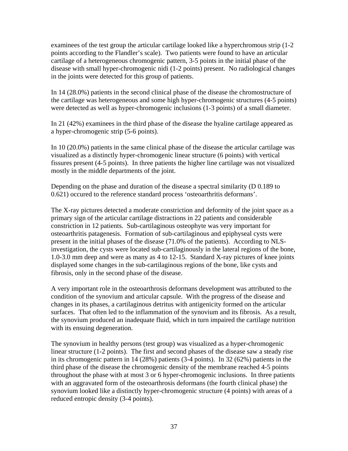examinees of the test group the articular cartilage looked like a hyperchromous strip (1-2 points according to the Flandler's scale). Two patients were found to have an articular cartilage of a heterogeneous chromogenic pattern, 3-5 points in the initial phase of the disease with small hyper-chromogenic nidi (1-2 points) present. No radiological changes in the joints were detected for this group of patients.

In 14 (28.0%) patients in the second clinical phase of the disease the chromostructure of the cartilage was heterogeneous and some high hyper-chromogenic structures (4-5 points) were detected as well as hyper-chromogenic inclusions (1-3 points) of a small diameter.

In 21 (42%) examinees in the third phase of the disease the hyaline cartilage appeared as a hyper-chromogenic strip (5-6 points).

In 10 (20.0%) patients in the same clinical phase of the disease the articular cartilage was visualized as a distinctly hyper-chromogenic linear structure (6 points) with vertical fissures present (4-5 points). In three patients the higher line cartilage was not visualized mostly in the middle departments of the joint.

Depending on the phase and duration of the disease a spectral similarity (D 0.189 to 0.621) occured to the reference standard process 'osteoarthritis deformans'.

The X-ray pictures detected a moderate constriction and deformity of the joint space as a primary sign of the articular cartilage distractions in 22 patients and considerable constriction in 12 patients. Sub-cartilaginous osteophyte was very important for osteoarthritis patagenesis. Formation of sub-cartilaginous and epiphyseal cysts were present in the initial phases of the disease (71.0% of the patients). According to NLSinvestigation, the cysts were located sub-cartilaginously in the lateral regions of the bone, 1.0-3.0 mm deep and were as many as 4 to 12-15. Standard X-ray pictures of knee joints displayed some changes in the sub-cartilaginous regions of the bone, like cysts and fibrosis, only in the second phase of the disease.

A very important role in the osteoarthrosis deformans development was attributed to the condition of the synovium and articular capsule. With the progress of the disease and changes in its phases, a cartilaginous detritus with antigenicity formed on the articular surfaces. That often led to the inflammation of the synovium and its fibrosis. As a result, the synovium produced an inadequate fluid, which in turn impaired the cartilage nutrition with its ensuing degeneration.

The synovium in healthy persons (test group) was visualized as a hyper-chromogenic linear structure (1-2 points). The first and second phases of the disease saw a steady rise in its chromogenic pattern in 14 (28%) patients (3-4 points). In 32 (62%) patients in the third phase of the disease the chromogenic density of the membrane reached 4-5 points throughout the phase with at most 3 or 6 hyper-chromogenic inclusions. In three patients with an aggravated form of the osteoarthrosis deformans (the fourth clinical phase) the synovium looked like a distinctly hyper-chromogenic structure (4 points) with areas of a reduced entropic density (3-4 points).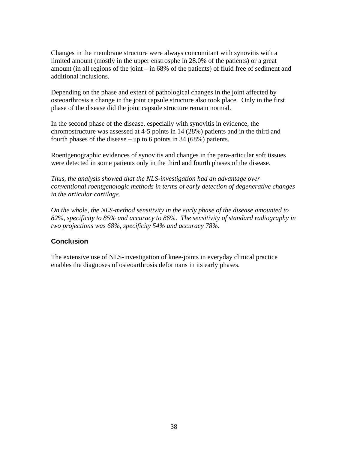<span id="page-37-0"></span>Changes in the membrane structure were always concomitant with synovitis with a limited amount (mostly in the upper enstrosphe in 28.0% of the patients) or a great amount (in all regions of the joint – in 68% of the patients) of fluid free of sediment and additional inclusions.

Depending on the phase and extent of pathological changes in the joint affected by osteoarthrosis a change in the joint capsule structure also took place. Only in the first phase of the disease did the joint capsule structure remain normal.

In the second phase of the disease, especially with synovitis in evidence, the chromostructure was assessed at 4-5 points in 14 (28%) patients and in the third and fourth phases of the disease – up to 6 points in 34 (68%) patients.

Roentgenographic evidences of synovitis and changes in the para-articular soft tissues were detected in some patients only in the third and fourth phases of the disease.

*Thus, the analysis showed that the NLS-investigation had an advantage over conventional roentgenologic methods in terms of early detection of degenerative changes in the articular cartilage.* 

*On the whole, the NLS-method sensitivity in the early phase of the disease amounted to 82%, specificity to 85% and accuracy to 86%. The sensitivity of standard radiography in two projections was 68%, specificity 54% and accuracy 78%.* 

### **Conclusion**

The extensive use of NLS-investigation of knee-joints in everyday clinical practice enables the diagnoses of osteoarthrosis deformans in its early phases.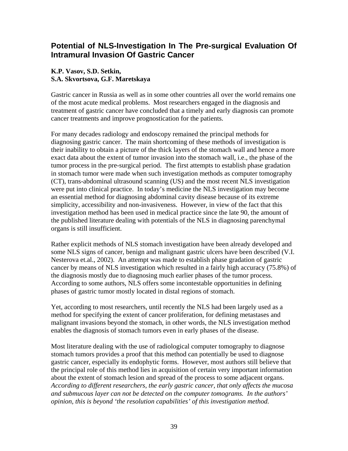### <span id="page-38-0"></span>**Potential of NLS-Investigation In The Pre-surgical Evaluation Of Intramural Invasion Of Gastric Cancer**

### **K.P. Vasov, S.D. Setkin, S.A. Skvortsova, G.F. Maretskaya**

Gastric cancer in Russia as well as in some other countries all over the world remains one of the most acute medical problems. Most researchers engaged in the diagnosis and treatment of gastric cancer have concluded that a timely and early diagnosis can promote cancer treatments and improve prognostication for the patients.

For many decades radiology and endoscopy remained the principal methods for diagnosing gastric cancer. The main shortcoming of these methods of investigation is their inability to obtain a picture of the thick layers of the stomach wall and hence a more exact data about the extent of tumor invasion into the stomach wall, i.e., the phase of the tumor process in the pre-surgical period. The first attempts to establish phase gradation in stomach tumor were made when such investigation methods as computer tomography (CT), trans-abdominal ultrasound scanning (US) and the most recent NLS investigation were put into clinical practice. In today's medicine the NLS investigation may become an essential method for diagnosing abdominal cavity disease because of its extreme simplicity, accessibility and non-invasiveness. However, in view of the fact that this investigation method has been used in medical practice since the late 90, the amount of the published literature dealing with potentials of the NLS in diagnosing parenchymal organs is still insufficient.

Rather explicit methods of NLS stomach investigation have been already developed and some NLS signs of cancer, benign and malignant gastric ulcers have been described (V.I. Nesterova et.al., 2002). An attempt was made to establish phase gradation of gastric cancer by means of NLS investigation which resulted in a fairly high accuracy (75.8%) of the diagnosis mostly due to diagnosing much earlier phases of the tumor process. According to some authors, NLS offers some incontestable opportunities in defining phases of gastric tumor mostly located in distal regions of stomach.

Yet, according to most researchers, until recently the NLS had been largely used as a method for specifying the extent of cancer proliferation, for defining metastases and malignant invasions beyond the stomach, in other words, the NLS investigation method enables the diagnosis of stomach tumors even in early phases of the disease.

Most literature dealing with the use of radiological computer tomography to diagnose stomach tumors provides a proof that this method can potentially be used to diagnose gastric cancer, especially its endophytic forms. However, most authors still believe that the principal role of this method lies in acquisition of certain very important information about the extent of stomach lesion and spread of the process to some adjacent organs. *According to different researchers, the early gastric cancer, that only affects the mucosa and submucous layer can not be detected on the computer tomograms. In the authors' opinion, this is beyond 'the resolution capabilities' of this investigation method.*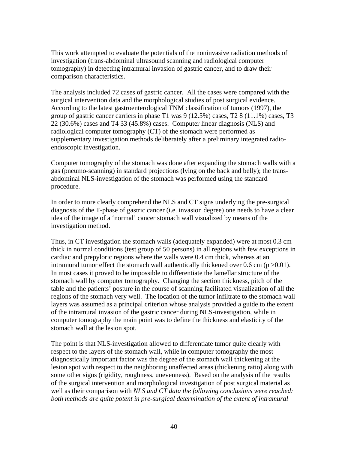This work attempted to evaluate the potentials of the noninvasive radiation methods of investigation (trans-abdominal ultrasound scanning and radiological computer tomography) in detecting intramural invasion of gastric cancer, and to draw their comparison characteristics.

The analysis included 72 cases of gastric cancer. All the cases were compared with the surgical intervention data and the morphological studies of post surgical evidence. According to the latest gastroenterological TNM classification of tumors (1997), the group of gastric cancer carriers in phase T1 was 9 (12.5%) cases, T2 8 (11.1%) cases, T3 22 (30.6%) cases and T4 33 (45.8%) cases. Computer linear diagnosis (NLS) and radiological computer tomography (CT) of the stomach were performed as supplementary investigation methods deliberately after a preliminary integrated radioendoscopic investigation.

Computer tomography of the stomach was done after expanding the stomach walls with a gas (pneumo-scanning) in standard projections (lying on the back and belly); the transabdominal NLS-investigation of the stomach was performed using the standard procedure.

In order to more clearly comprehend the NLS and CT signs underlying the pre-surgical diagnosis of the T-phase of gastric cancer (i.e. invasion degree) one needs to have a clear idea of the image of a 'normal' cancer stomach wall visualized by means of the investigation method.

Thus, in CT investigation the stomach walls (adequately expanded) were at most 0.3 cm thick in normal conditions (test group of 50 persons) in all regions with few exceptions in cardiac and prepyloric regions where the walls were 0.4 cm thick, whereas at an intramural tumor effect the stomach wall authentically thickened over 0.6 cm ( $p > 0.01$ ). In most cases it proved to be impossible to differentiate the lamellar structure of the stomach wall by computer tomography. Changing the section thickness, pitch of the table and the patients' posture in the course of scanning facilitated visualization of all the regions of the stomach very well. The location of the tumor infiltrate to the stomach wall layers was assumed as a principal criterion whose analysis provided a guide to the extent of the intramural invasion of the gastric cancer during NLS-investigation, while in computer tomography the main point was to define the thickness and elasticity of the stomach wall at the lesion spot.

The point is that NLS-investigation allowed to differentiate tumor quite clearly with respect to the layers of the stomach wall, while in computer tomography the most diagnostically important factor was the degree of the stomach wall thickening at the lesion spot with respect to the neighboring unaffected areas (thickening ratio) along with some other signs (rigidity, roughness, unevenness). Based on the analysis of the results of the surgical intervention and morphological investigation of post surgical material as well as their comparison with *NLS and CT data the following conclusions were reached: both methods are quite potent in pre-surgical determination of the extent of intramural*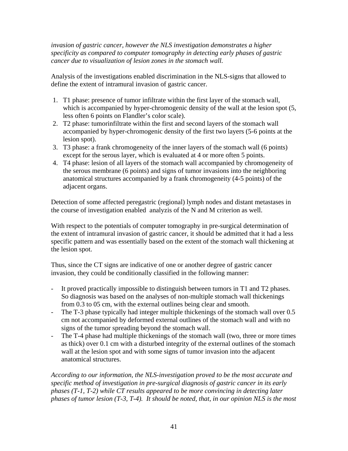*invasion of gastric cancer, however the NLS investigation demonstrates a higher specificity as compared to computer tomography in detecting early phases of gastric cancer due to visualization of lesion zones in the stomach wall.* 

Analysis of the investigations enabled discrimination in the NLS-signs that allowed to define the extent of intramural invasion of gastric cancer.

- 1. T1 phase: presence of tumor infiltrate within the first layer of the stomach wall, which is accompanied by hyper-chromogenic density of the wall at the lesion spot (5, less often 6 points on Flandler's color scale).
- 2. T2 phase: tumorinfiltrate within the first and second layers of the stomach wall accompanied by hyper-chromogenic density of the first two layers (5-6 points at the lesion spot).
- 3. T3 phase: a frank chromogeneity of the inner layers of the stomach wall (6 points) except for the serous layer, which is evaluated at 4 or more often 5 points.
- 4. T4 phase: lesion of all layers of the stomach wall accompanied by chromogeneity of the serous membrane (6 points) and signs of tumor invasions into the neighboring anatomical structures accompanied by a frank chromogeneity (4-5 points) of the adjacent organs.

Detection of some affected peregastric (regional) lymph nodes and distant metastases in the course of investigation enabled analyzis of the N and M criterion as well.

With respect to the potentials of computer tomography in pre-surgical determination of the extent of intramural invasion of gastric cancer, it should be admitted that it had a less specific pattern and was essentially based on the extent of the stomach wall thickening at the lesion spot.

Thus, since the CT signs are indicative of one or another degree of gastric cancer invasion, they could be conditionally classified in the following manner:

- It proved practically impossible to distinguish between tumors in T1 and T2 phases. So diagnosis was based on the analyses of non-multiple stomach wall thickenings from 0.3 to 05 cm, with the external outlines being clear and smooth.
- The T-3 phase typically had integer multiple thickenings of the stomach wall over 0.5 cm not accompanied by deformed external outlines of the stomach wall and with no signs of the tumor spreading beyond the stomach wall.
- The T-4 phase had multiple thickenings of the stomach wall (two, three or more times as thick) over 0.1 cm with a disturbed integrity of the external outlines of the stomach wall at the lesion spot and with some signs of tumor invasion into the adjacent anatomical structures.

*According to our information, the NLS-investigation proved to be the most accurate and specific method of investigation in pre-surgical diagnosis of gastric cancer in its early phases (T-1, T-2) while CT results appeared to be more convincing in detecting later phases of tumor lesion (T-3, T-4). It should be noted, that, in our opinion NLS is the most*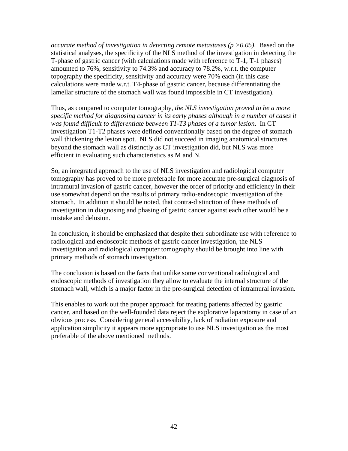*accurate method of investigation in detecting remote metastases (p >0.05)*. Based on the statistical analyses, the specificity of the NLS method of the investigation in detecting the T-phase of gastric cancer (with calculations made with reference to T-1, T-1 phases) amounted to 76%, sensitivity to 74.3% and accuracy to 78.2%, w.r.t. the computer topography the specificity, sensitivity and accuracy were 70% each (in this case calculations were made w.r.t. T4-phase of gastric cancer, because differentiating the lamellar structure of the stomach wall was found impossible in CT investigation).

Thus, as compared to computer tomography, *the NLS investigation proved to be a more specific method for diagnosing cancer in its early phases although in a number of cases it was found difficult to differentiate between T1-T3 phases of a tumor lesion*. In CT investigation T1-T2 phases were defined conventionally based on the degree of stomach wall thickening the lesion spot. NLS did not succeed in imaging anatomical structures beyond the stomach wall as distinctly as CT investigation did, but NLS was more efficient in evaluating such characteristics as M and N.

So, an integrated approach to the use of NLS investigation and radiological computer tomography has proved to be more preferable for more accurate pre-surgical diagnosis of intramural invasion of gastric cancer, however the order of priority and efficiency in their use somewhat depend on the results of primary radio-endoscopic investigation of the stomach. In addition it should be noted, that contra-distinction of these methods of investigation in diagnosing and phasing of gastric cancer against each other would be a mistake and delusion.

In conclusion, it should be emphasized that despite their subordinate use with reference to radiological and endoscopic methods of gastric cancer investigation, the NLS investigation and radiological computer tomography should be brought into line with primary methods of stomach investigation.

The conclusion is based on the facts that unlike some conventional radiological and endoscopic methods of investigation they allow to evaluate the internal structure of the stomach wall, which is a major factor in the pre-surgical detection of intramural invasion.

This enables to work out the proper approach for treating patients affected by gastric cancer, and based on the well-founded data reject the explorative laparatomy in case of an obvious process. Considering general accessibility, lack of radiation exposure and application simplicity it appears more appropriate to use NLS investigation as the most preferable of the above mentioned methods.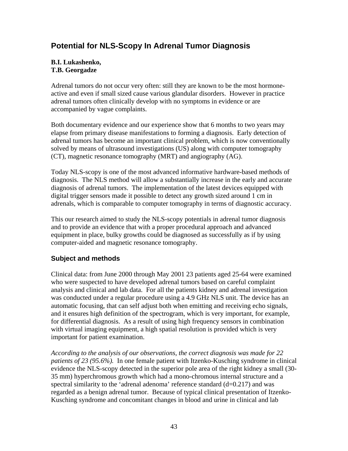### <span id="page-42-0"></span>**Potential for NLS-Scopy In Adrenal Tumor Diagnosis**

#### **B.I. Lukashenko, T.B. Georgadze**

Adrenal tumors do not occur very often: still they are known to be the most hormoneactive and even if small sized cause various glandular disorders. However in practice adrenal tumors often clinically develop with no symptoms in evidence or are accompanied by vague complaints.

Both documentary evidence and our experience show that 6 months to two years may elapse from primary disease manifestations to forming a diagnosis. Early detection of adrenal tumors has become an important clinical problem, which is now conventionally solved by means of ultrasound investigations (US) along with computer tomography (CT), magnetic resonance tomography (MRT) and angiography (AG).

Today NLS-scopy is one of the most advanced informative hardware-based methods of diagnosis. The NLS method will allow a substantially increase in the early and accurate diagnosis of adrenal tumors. The implementation of the latest devices equipped with digital trigger sensors made it possible to detect any growth sized around 1 cm in adrenals, which is comparable to computer tomography in terms of diagnostic accuracy.

This our research aimed to study the NLS-scopy potentials in adrenal tumor diagnosis and to provide an evidence that with a proper procedural approach and advanced equipment in place, bulky growths could be diagnosed as successfully as if by using computer-aided and magnetic resonance tomography.

### **Subject and methods**

Clinical data: from June 2000 through May 2001 23 patients aged 25-64 were examined who were suspected to have developed adrenal tumors based on careful complaint analysis and clinical and lab data. For all the patients kidney and adrenal investigation was conducted under a regular procedure using a 4.9 GHz NLS unit. The device has an automatic focusing, that can self adjust both when emitting and receiving echo signals, and it ensures high definition of the spectrogram, which is very important, for example, for differential diagnosis. As a result of using high frequency sensors in combination with virtual imaging equipment, a high spatial resolution is provided which is very important for patient examination.

*According to the analysis of our observations, the correct diagnosis was made for 22 patients of 23 (95.6%).* In one female patient with Itzenko-Kusching syndrome in clinical evidence the NLS-scopy detected in the superior pole area of the right kidney a small (30- 35 mm) hyperchromous growth which had a mono-chromous internal structure and a spectral similarity to the 'adrenal adenoma' reference standard  $(d=0.217)$  and was regarded as a benign adrenal tumor. Because of typical clinical presentation of Itzenko-Kusching syndrome and concomitant changes in blood and urine in clinical and lab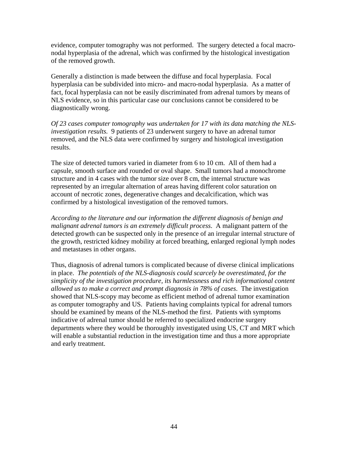evidence, computer tomography was not performed. The surgery detected a focal macronodal hyperplasia of the adrenal, which was confirmed by the histological investigation of the removed growth.

Generally a distinction is made between the diffuse and focal hyperplasia. Focal hyperplasia can be subdivided into micro- and macro-nodal hyperplasia. As a matter of fact, focal hyperplasia can not be easily discriminated from adrenal tumors by means of NLS evidence, so in this particular case our conclusions cannot be considered to be diagnostically wrong.

*Of 23 cases computer tomography was undertaken for 17 with its data matching the NLSinvestigation results.* 9 patients of 23 underwent surgery to have an adrenal tumor removed, and the NLS data were confirmed by surgery and histological investigation results.

The size of detected tumors varied in diameter from 6 to 10 cm. All of them had a capsule, smooth surface and rounded or oval shape. Small tumors had a monochrome structure and in 4 cases with the tumor size over 8 cm, the internal structure was represented by an irregular alternation of areas having different color saturation on account of necrotic zones, degenerative changes and decalcification, which was confirmed by a histological investigation of the removed tumors.

*According to the literature and our information the different diagnosis of benign and malignant adrenal tumors is an extremely difficult process*. A malignant pattern of the detected growth can be suspected only in the presence of an irregular internal structure of the growth, restricted kidney mobility at forced breathing, enlarged regional lymph nodes and metastases in other organs.

Thus, diagnosis of adrenal tumors is complicated because of diverse clinical implications in place. *The potentials of the NLS-diagnosis could scarcely be overestimated, for the simplicity of the investigation procedure, its harmlessness and rich informational content allowed us to make a correct and prompt diagnosis in 78% of cases*. The investigation showed that NLS-scopy may become as efficient method of adrenal tumor examination as computer tomography and US. Patients having complaints typical for adrenal tumors should be examined by means of the NLS-method the first. Patients with symptoms indicative of adrenal tumor should be referred to specialized endocrine surgery departments where they would be thoroughly investigated using US, CT and MRT which will enable a substantial reduction in the investigation time and thus a more appropriate and early treatment.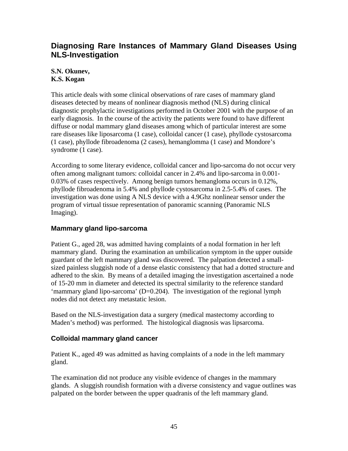### <span id="page-44-0"></span>**Diagnosing Rare Instances of Mammary Gland Diseases Using NLS-Investigation**

### **S.N. Okunev, K.S. Kogan**

This article deals with some clinical observations of rare cases of mammary gland diseases detected by means of nonlinear diagnosis method (NLS) during clinical diagnostic prophylactic investigations performed in October 2001 with the purpose of an early diagnosis. In the course of the activity the patients were found to have different diffuse or nodal mammary gland diseases among which of particular interest are some rare diseases like liposarcoma (1 case), colloidal cancer (1 case), phyllode cystosarcoma (1 case), phyllode fibroadenoma (2 cases), hemanglomma (1 case) and Mondore's syndrome (1 case).

According to some literary evidence, colloidal cancer and lipo-sarcoma do not occur very often among malignant tumors: colloidal cancer in 2.4% and lipo-sarcoma in 0.001- 0.03% of cases respectively. Among benign tumors hemangloma occurs in 0.12%, phyllode fibroadenoma in 5.4% and phyllode cystosarcoma in 2.5-5.4% of cases. The investigation was done using A NLS device with a 4.9Ghz nonlinear sensor under the program of virtual tissue representation of panoramic scanning (Panoramic NLS Imaging).

### **Mammary gland lipo-sarcoma**

Patient G., aged 28, was admitted having complaints of a nodal formation in her left mammary gland. During the examination an umbilication symptom in the upper outside guardant of the left mammary gland was discovered. The palpation detected a smallsized painless sluggish node of a dense elastic consistency that had a dotted structure and adhered to the skin. By means of a detailed imaging the investigation ascertained a node of 15-20 mm in diameter and detected its spectral similarity to the reference standard 'mammary gland lipo-sarcoma' (D=0.204). The investigation of the regional lymph nodes did not detect any metastatic lesion.

Based on the NLS-investigation data a surgery (medical mastectomy according to Maden's method) was performed. The histological diagnosis was lipsarcoma.

### **Colloidal mammary gland cancer**

Patient K., aged 49 was admitted as having complaints of a node in the left mammary gland.

The examination did not produce any visible evidence of changes in the mammary glands. A sluggish roundish formation with a diverse consistency and vague outlines was palpated on the border between the upper quadranis of the left mammary gland.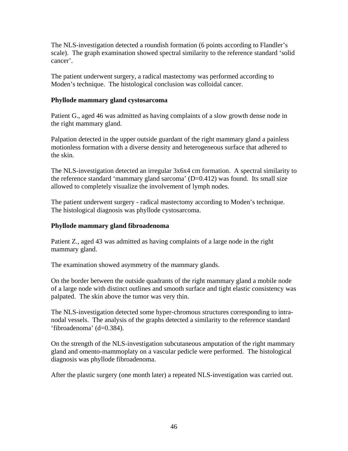The NLS-investigation detected a roundish formation (6 points according to Flandler's scale). The graph examination showed spectral similarity to the reference standard 'solid cancer'.

The patient underwent surgery, a radical mastectomy was performed according to Moden's technique. The histological conclusion was colloidal cancer.

#### **Phyllode mammary gland cystosarcoma**

Patient G., aged 46 was admitted as having complaints of a slow growth dense node in the right mammary gland.

Palpation detected in the upper outside guardant of the right mammary gland a painless motionless formation with a diverse density and heterogeneous surface that adhered to the skin.

The NLS-investigation detected an irregular 3x6x4 cm formation. A spectral similarity to the reference standard 'mammary gland sarcoma' (D=0.412) was found. Its small size allowed to completely visualize the involvement of lymph nodes.

The patient underwent surgery - radical mastectomy according to Moden's technique. The histological diagnosis was phyllode cystosarcoma.

#### **Phyllode mammary gland fibroadenoma**

Patient Z., aged 43 was admitted as having complaints of a large node in the right mammary gland.

The examination showed asymmetry of the mammary glands.

On the border between the outside quadrants of the right mammary gland a mobile node of a large node with distinct outlines and smooth surface and tight elastic consistency was palpated. The skin above the tumor was very thin.

The NLS-investigation detected some hyper-chromous structures corresponding to intranodal vessels. The analysis of the graphs detected a similarity to the reference standard 'fibroadenoma' (d=0.384).

On the strength of the NLS-investigation subcutaneous amputation of the right mammary gland and omento-mammoplaty on a vascular pedicle were performed. The histological diagnosis was phyllode fibroadenoma.

After the plastic surgery (one month later) a repeated NLS-investigation was carried out.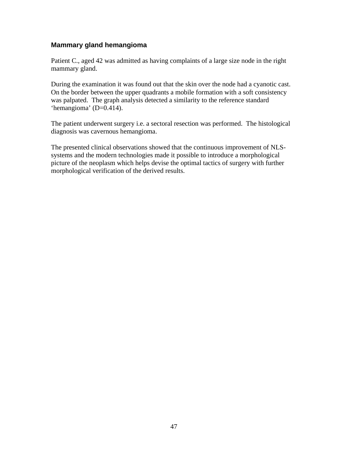#### <span id="page-46-0"></span>**Mammary gland hemangioma**

Patient C., aged 42 was admitted as having complaints of a large size node in the right mammary gland.

During the examination it was found out that the skin over the node had a cyanotic cast. On the border between the upper quadrants a mobile formation with a soft consistency was palpated. The graph analysis detected a similarity to the reference standard 'hemangioma' (D=0.414).

The patient underwent surgery i.e. a sectoral resection was performed. The histological diagnosis was cavernous hemangioma.

The presented clinical observations showed that the continuous improvement of NLSsystems and the modern technologies made it possible to introduce a morphological picture of the neoplasm which helps devise the optimal tactics of surgery with further morphological verification of the derived results.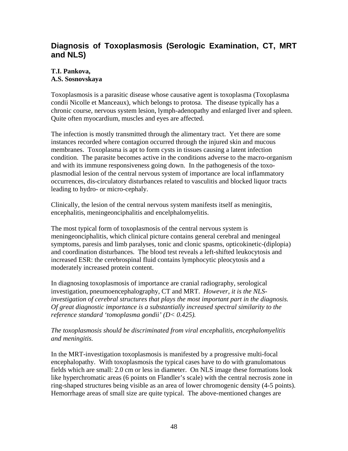### <span id="page-47-0"></span>**Diagnosis of Toxoplasmosis (Serologic Examination, CT, MRT and NLS)**

### **T.I. Pankova,**

### **A.S. Sosnovskaya**

Toxoplasmosis is a parasitic disease whose causative agent is toxoplasma (Toxoplasma condii Nicolle et Manceaux), which belongs to protosa. The disease typically has a chronic course, nervous system lesion, lymph-adenopathy and enlarged liver and spleen. Quite often myocardium, muscles and eyes are affected.

The infection is mostly transmitted through the alimentary tract. Yet there are some instances recorded where contagion occurred through the injured skin and mucous membranes. Toxoplasma is apt to form cysts in tissues causing a latent infection condition. The parasite becomes active in the conditions adverse to the macro-organism and with its immune responsiveness going down. In the pathogenesis of the toxoplasmodial lesion of the central nervous system of importance are local inflammatory occurrences, dis-circulatory disturbances related to vasculitis and blocked liquor tracts leading to hydro- or micro-cephaly.

Clinically, the lesion of the central nervous system manifests itself as meningitis, encephalitis, meningeonciphalitis and encelphalomyelitis.

The most typical form of toxoplasmosis of the central nervous system is meningeonciphalitis, which clinical picture contains general cerebral and meningeal symptoms, paresis and limb paralyses, tonic and clonic spasms, opticokinetic-(diplopia) and coordination disturbances. The blood test reveals a left-shifted leukocytosis and increased ESR: the cerebrospinal fluid contains lymphocytic pleocytosis and a moderately increased protein content.

In diagnosing toxoplasmosis of importance are cranial radiography, serological investigation, pneumoencephalography, CT and MRT. *However, it is the NLSinvestigation of cerebral structures that plays the most important part in the diagnosis. Of great diagnostic importance is a substantially increased spectral similarity to the reference standard 'tomoplasma gondii' (D< 0.425).*

### *The toxoplasmosis should be discriminated from viral encephalitis, encephalomyelitis and meningitis.*

In the MRT-investigation toxoplasmosis is manifested by a progressive multi-focal encephalopathy. With toxoplasmosis the typical cases have to do with granulomatous fields which are small: 2.0 cm or less in diameter. On NLS image these formations look like hyperchromatic areas (6 points on Flandler's scale) with the central necrosis zone in ring-shaped structures being visible as an area of lower chromogenic density (4-5 points). Hemorrhage areas of small size are quite typical. The above-mentioned changes are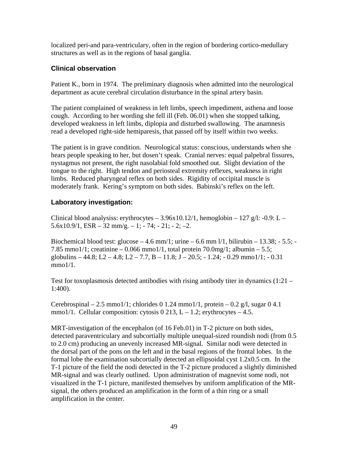<span id="page-48-0"></span>localized peri-and para-ventriculary, often in the region of bordering cortico-medullary structures as well as in the regions of basal ganglia.

### **Clinical observation**

Patient K., born in 1974. The preliminary diagnosis when admitted into the neurological department as acute cerebral circulation disturbance in the spinal artery basin.

The patient complained of weakness in left limbs, speech impediment, asthena and loose cough. According to her wording she fell ill (Feb. 06.01) when she stopped talking, developed weakness in left limbs, diplopia and disturbed swallowing. The anamnesis read a developed right-side hemiparesis, that passed off by itself within two weeks.

The patient is in grave condition. Neurological status: conscious, understands when she hears people speaking to her, but dosen't speak. Cranial nerves: equal palpebral fissures, nystagmus not present, the right nasolabial fold smoothed out. Slight deviation of the tongue to the right. High tendon and periosteal extremity reflexes, weakness in right limbs. Reduced pharyngeal reflex on both sides. Rigidity of occipital muscle is moderately frank. Kering's symptom on both sides. Babinski's reflex on the left.

### **Laboratory investigation:**

Clinical blood analysiss: erythrocytes  $-3.96x10.12/1$ , hemoglobin  $-127$  g/l: -0.9: L –  $5.6x10.9/1$ ,  $ESR - 32$  mm/g.  $- 1$ ;  $- 74$ ;  $- 21$ ;  $- 2$ ;  $-2$ .

Biochemical blood test: glucose  $-4.6$  mm/1; urine  $-6.6$  mm  $1/1$ , bilirubin  $-13.38$ ;  $-5.5$ ; 7.85 mmo1/1; creatinine  $-0.066$  mmo1/1, total protein 70.0mg/1; albumin  $-5.5$ ; globulins – 44.8; L2 – 4.8; L2 – 7.7, B – 11.8; J – 20.5; - 1.24; - 0.29 mmo1/1; - 0.31 mmo1/1.

Test for toxoplasmosis detected antibodies with rising antibody titer in dynamics  $(1:21 -$ 1:400).

Cerebrospinal – 2.5 mmo1/1; chlorides 0 1.24 mmo1/1, protein – 0.2 g/l, sugar 0 4.1 mmo1/1. Cellular composition: cytosis  $0\,213$ , L – 1.2; erythrocytes – 4.5.

MRT-investigation of the encephalon (of 16 Feb.01) in T-2 picture on both sides, detected paraventriculary and subcortially multiple unequal-sized roundish nodi (from 0.5 to 2.0 cm) producing an unevenly increased MR-signal. Similar nodi were detected in the dorsal part of the pons on the left and in the basal regions of the frontal lobes. In the formal lobe the examination subcortially detected an ellipsoidal cyst 1.2x0.5 cm. In the T-1 picture of the field the nodi detected in the T-2 picture produced a slightly diminished MR-signal and was clearly outlined. Upon administration of magnevist some nodi, not visualized in the T-1 picture, manifested themselves by uniform amplification of the MRsignal, the others produced an amplification in the form of a thin ring or a small amplification in the center.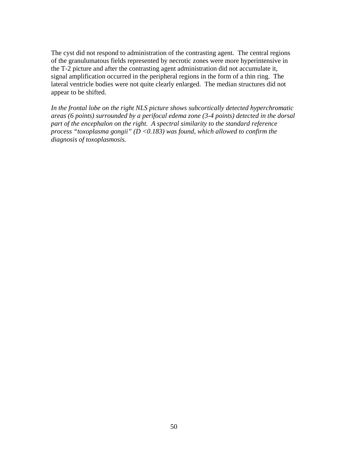The cyst did not respond to administration of the contrasting agent. The central regions of the granulumatous fields represented by necrotic zones were more hyperintensive in the T-2 picture and after the contrasting agent administration did not accumulate it, signal amplification occurred in the peripheral regions in the form of a thin ring. The lateral ventricle bodies were not quite clearly enlarged. The median structures did not appear to be shifted.

*In the frontal lobe on the right NLS picture shows subcortically detected hyperchromatic areas (6 points) surrounded by a perifocal edema zone (3-4 points) detected in the dorsal part of the encephalon on the right. A spectral similarity to the standard reference process "toxoplasma gongii" (D <0.183) was found, which allowed to confirm the diagnosis of toxoplasmosis.*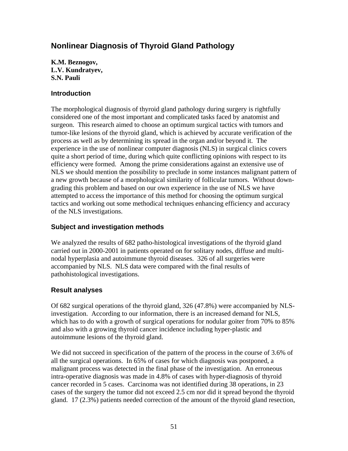### <span id="page-50-0"></span>**Nonlinear Diagnosis of Thyroid Gland Pathology**

**K.M. Beznogov, L.V. Kundratyev, S.N. Pauli** 

#### **Introduction**

The morphological diagnosis of thyroid gland pathology during surgery is rightfully considered one of the most important and complicated tasks faced by anatomist and surgeon. This research aimed to choose an optimum surgical tactics with tumors and tumor-like lesions of the thyroid gland, which is achieved by accurate verification of the process as well as by determining its spread in the organ and/or beyond it. The experience in the use of nonlinear computer diagnosis (NLS) in surgical clinics covers quite a short period of time, during which quite conflicting opinions with respect to its efficiency were formed. Among the prime considerations against an extensive use of NLS we should mention the possibility to preclude in some instances malignant pattern of a new growth because of a morphological similarity of follicular tumors. Without downgrading this problem and based on our own experience in the use of NLS we have attempted to access the importance of this method for choosing the optimum surgical tactics and working out some methodical techniques enhancing efficiency and accuracy of the NLS investigations.

### **Subject and investigation methods**

We analyzed the results of 682 patho-histological investigations of the thyroid gland carried out in 2000-2001 in patients operated on for solitary nodes, diffuse and multinodal hyperplasia and autoimmune thyroid diseases. 326 of all surgeries were accompanied by NLS. NLS data were compared with the final results of pathohistological investigations.

#### **Result analyses**

Of 682 surgical operations of the thyroid gland, 326 (47.8%) were accompanied by NLSinvestigation. According to our information, there is an increased demand for NLS, which has to do with a growth of surgical operations for nodular goiter from 70% to 85% and also with a growing thyroid cancer incidence including hyper-plastic and autoimmune lesions of the thyroid gland.

We did not succeed in specification of the pattern of the process in the course of 3.6% of all the surgical operations. In 65% of cases for which diagnosis was postponed, a malignant process was detected in the final phase of the investigation. An erroneous intra-operative diagnosis was made in 4.8% of cases with hyper-diagnosis of thyroid cancer recorded in 5 cases. Carcinoma was not identified during 38 operations, in 23 cases of the surgery the tumor did not exceed 2.5 cm nor did it spread beyond the thyroid gland. 17 (2.3%) patients needed correction of the amount of the thyroid gland resection,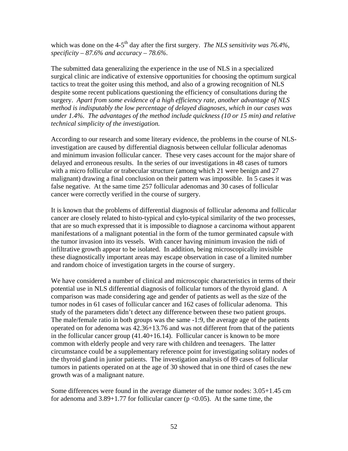which was done on the 4-5<sup>th</sup> day after the first surgery. *The NLS sensitivity was 76.4%*, *specificity – 87.6% and accuracy – 78.6%.* 

The submitted data generalizing the experience in the use of NLS in a specialized surgical clinic are indicative of extensive opportunities for choosing the optimum surgical tactics to treat the goiter using this method, and also of a growing recognition of NLS despite some recent publications questioning the efficiency of consultations during the surgery. *Apart from some evidence of a high efficiency rate, another advantage of NLS method is indisputably the low percentage of delayed diagnoses, which in our cases was under 1.4%. The advantages of the method include quickness (10 or 15 min) and relative technical simplicity of the investigation.* 

According to our research and some literary evidence, the problems in the course of NLSinvestigation are caused by differential diagnosis between cellular follicular adenomas and minimum invasion follicular cancer. These very cases account for the major share of delayed and erroneous results. In the series of our investigations in 48 cases of tumors with a micro follicular or trabecular structure (among which 21 were benign and 27 malignant) drawing a final conclusion on their pattern was impossible. In 5 cases it was false negative. At the same time 257 follicular adenomas and 30 cases of follicular cancer were correctly verified in the course of surgery.

It is known that the problems of differential diagnosis of follicular adenoma and follicular cancer are closely related to histo-typical and cylo-typical similarity of the two processes, that are so much expressed that it is impossible to diagnose a carcinoma without apparent manifestations of a malignant potential in the form of the tumor germinated capsule with the tumor invasion into its vessels. With cancer having minimum invasion the nidi of infiltrative growth appear to be isolated. In addition, being microscopically invisible these diagnostically important areas may escape observation in case of a limited number and random choice of investigation targets in the course of surgery.

We have considered a number of clinical and microscopic characteristics in terms of their potential use in NLS differential diagnosis of follicular tumors of the thyroid gland. A comparison was made considering age and gender of patients as well as the size of the tumor nodes in 61 cases of follicular cancer and 162 cases of follicular adenoma. This study of the parameters didn't detect any difference between these two patient groups. The male/female ratio in both groups was the same -1:9, the average age of the patients operated on for adenoma was 42.36+13.76 and was not different from that of the patients in the follicular cancer group (41.40+16.14). Follicular cancer is known to be more common with elderly people and very rare with children and teenagers. The latter circumstance could be a supplementary reference point for investigating solitary nodes of the thyroid gland in junior patients. The investigation analysis of 89 cases of follicular tumors in patients operated on at the age of 30 showed that in one third of cases the new growth was of a malignant nature.

Some differences were found in the average diameter of the tumor nodes: 3.05+1.45 cm for adenoma and  $3.89+1.77$  for follicular cancer ( $p < 0.05$ ). At the same time, the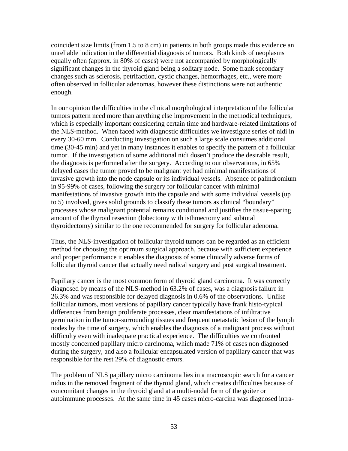coincident size limits (from 1.5 to 8 cm) in patients in both groups made this evidence an unreliable indication in the differential diagnosis of tumors. Both kinds of neoplasms equally often (approx. in 80% of cases) were not accompanied by morphologically significant changes in the thyroid gland being a solitary node. Some frank secondary changes such as sclerosis, petrifaction, cystic changes, hemorrhages, etc., were more often observed in follicular adenomas, however these distinctions were not authentic enough.

In our opinion the difficulties in the clinical morphological interpretation of the follicular tumors pattern need more than anything else improvement in the methodical techniques, which is especially important considering certain time and hardware-related limitations of the NLS-method. When faced with diagnostic difficulties we investigate series of nidi in every 30-60 mm. Conducting investigation on such a large scale consumes additional time (30-45 min) and yet in many instances it enables to specify the pattern of a follicular tumor. If the investigation of some additional nidi dosen't produce the desirable result, the diagnosis is performed after the surgery. According to our observations, in 65% delayed cases the tumor proved to be malignant yet had minimal manifestations of invasive growth into the node capsule or its individual vessels. Absence of palindromium in 95-99% of cases, following the surgery for follicular cancer with minimal manifestations of invasive growth into the capsule and with some individual vessels (up to 5) involved, gives solid grounds to classify these tumors as clinical "boundary" processes whose malignant potential remains conditional and justifies the tissue-sparing amount of the thyroid resection (lobectomy with isthmectomy and subtotal thyroidectomy) similar to the one recommended for surgery for follicular adenoma.

Thus, the NLS-investigation of follicular thyroid tumors can be regarded as an efficient method for choosing the optimum surgical approach, because with sufficient experience and proper performance it enables the diagnosis of some clinically adverse forms of follicular thyroid cancer that actually need radical surgery and post surgical treatment.

Papillary cancer is the most common form of thyroid gland carcinoma. It was correctly diagnosed by means of the NLS-method in 63.2% of cases, was a diagnosis failure in 26.3% and was responsible for delayed diagnosis in 0.6% of the observations. Unlike follicular tumors, most versions of papillary cancer typically have frank histo-typical differences from benign proliferate processes, clear manifestations of infiltrative germination in the tumor-surrounding tissues and frequent metastatic lesion of the lymph nodes by the time of surgery, which enables the diagnosis of a malignant process without difficulty even with inadequate practical experience. The difficulties we confronted mostly concerned papillary micro carcinoma, which made 71% of cases non diagnosed during the surgery, and also a follicular encapsulated version of papillary cancer that was responsible for the rest 29% of diagnostic errors.

The problem of NLS papillary micro carcinoma lies in a macroscopic search for a cancer nidus in the removed fragment of the thyroid gland, which creates difficulties because of concomitant changes in the thyroid gland at a multi-nodal form of the goiter or autoimmune processes. At the same time in 45 cases micro-carcina was diagnosed intra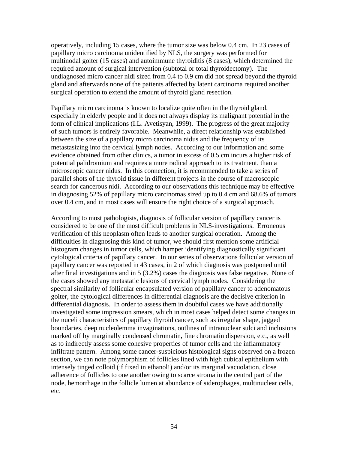operatively, including 15 cases, where the tumor size was below 0.4 cm. In 23 cases of papillary micro carcinoma unidentified by NLS, the surgery was performed for multinodal goiter (15 cases) and autoimmune thyroiditis (8 cases), which determined the required amount of surgical intervention (subtotal or total thyroidectomy). The undiagnosed micro cancer nidi sized from 0.4 to 0.9 cm did not spread beyond the thyroid gland and afterwards none of the patients affected by latent carcinoma required another surgical operation to extend the amount of thyroid gland resection.

Papillary micro carcinoma is known to localize quite often in the thyroid gland, especially in elderly people and it does not always display its malignant potential in the form of clinical implications (I.L. Avetisyan, 1999). The progress of the great majority of such tumors is entirely favorable. Meanwhile, a direct relationship was established between the size of a papillary micro carcinoma nidus and the frequency of its metastasizing into the cervical lymph nodes. According to our information and some evidence obtained from other clinics, a tumor in excess of 0.5 cm incurs a higher risk of potential palidromium and requires a more radical approach to its treatment, than a microscopic cancer nidus. In this connection, it is recommended to take a series of parallel shots of the thyroid tissue in different projects in the course of macroscopic search for cancerous nidi. According to our observations this technique may be effective in diagnosing 52% of papillary micro carcinomas sized up to 0.4 cm and 68.6% of tumors over 0.4 cm, and in most cases will ensure the right choice of a surgical approach.

According to most pathologists, diagnosis of follicular version of papillary cancer is considered to be one of the most difficult problems in NLS-investigations. Erroneous verification of this neoplasm often leads to another surgical operation. Among the difficulties in diagnosing this kind of tumor, we should first mention some artificial histogram changes in tumor cells, which hamper identifying diagnostically significant cytological criteria of papillary cancer. In our series of observations follicular version of papillary cancer was reported in 43 cases, in 2 of which diagnosis was postponed until after final investigations and in 5 (3.2%) cases the diagnosis was false negative. None of the cases showed any metastatic lesions of cervical lymph nodes. Considering the spectral similarity of follicular encapsulated version of papillary cancer to adenomatous goiter, the cytological differences in differential diagnosis are the decisive criterion in differential diagnosis. In order to assess them in doubtful cases we have additionally investigated some impression smears, which in most cases helped detect some changes in the nuceli characteristics of papillary thyroid cancer, such as irregular shape, jagged boundaries, deep nucleolemma invaginations, outlines of intranuclear sulci and inclusions marked off by marginally condensed chromatin, fine chromatin dispersion, etc., as well as to indirectly assess some cohesive properties of tumor cells and the inflammatory infiltrate pattern. Among some cancer-suspicious histological signs observed on a frozen section, we can note polymorphism of follicles lined with high cubical epithelium with intensely tinged colloid (if fixed in ethanol!) and/or its marginal vacuolation, close adherence of follicles to one another owing to scarce stroma in the central part of the node, hemorrhage in the follicle lumen at abundance of siderophages, multinuclear cells, etc.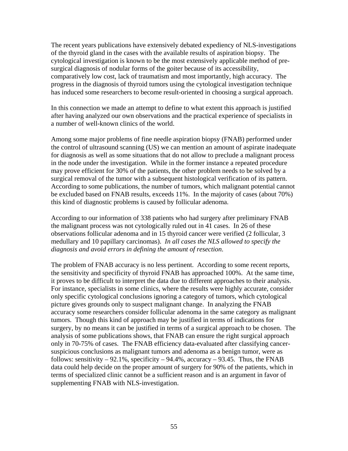The recent years publications have extensively debated expediency of NLS-investigations of the thyroid gland in the cases with the available results of aspiration biopsy. The cytological investigation is known to be the most extensively applicable method of presurgical diagnosis of nodular forms of the goiter because of its accessibility, comparatively low cost, lack of traumatism and most importantly, high accuracy. The progress in the diagnosis of thyroid tumors using the cytological investigation technique has induced some researchers to become result-oriented in choosing a surgical approach.

In this connection we made an attempt to define to what extent this approach is justified after having analyzed our own observations and the practical experience of specialists in a number of well-known clinics of the world.

Among some major problems of fine needle aspiration biopsy (FNAB) performed under the control of ultrasound scanning (US) we can mention an amount of aspirate inadequate for diagnosis as well as some situations that do not allow to preclude a malignant process in the node under the investigation. While in the former instance a repeated procedure may prove efficient for 30% of the patients, the other problem needs to be solved by a surgical removal of the tumor with a subsequent histological verification of its pattern. According to some publications, the number of tumors, which malignant potential cannot be excluded based on FNAB results, exceeds 11%. In the majority of cases (about 70%) this kind of diagnostic problems is caused by follicular adenoma.

According to our information of 338 patients who had surgery after preliminary FNAB the malignant process was not cytologically ruled out in 41 cases. In 26 of these observations follicular adenoma and in 15 thyroid cancer were verified (2 follicular, 3 medullary and 10 papillary carcinomas). *In all cases the NLS allowed to specify the diagnosis and avoid errors in defining the amount of resection*.

The problem of FNAB accuracy is no less pertinent. According to some recent reports, the sensitivity and specificity of thyroid FNAB has approached 100%. At the same time, it proves to be difficult to interpret the data due to different approaches to their analysis. For instance, specialists in some clinics, where the results were highly accurate, consider only specific cytological conclusions ignoring a category of tumors, which cytological picture gives grounds only to suspect malignant change. In analyzing the FNAB accuracy some researchers consider follicular adenoma in the same category as malignant tumors. Though this kind of approach may be justified in terms of indications for surgery, by no means it can be justified in terms of a surgical approach to be chosen. The analysis of some publications shows, that FNAB can ensure the right surgical approach only in 70-75% of cases. The FNAB efficiency data-evaluated after classifying cancersuspicious conclusions as malignant tumors and adenoma as a benign tumor, were as follows: sensitivity  $-92.1\%$ , specificity  $-94.4\%$ , accuracy  $-93.45$ . Thus, the FNAB data could help decide on the proper amount of surgery for 90% of the patients, which in terms of specialized clinic cannot be a sufficient reason and is an argument in favor of supplementing FNAB with NLS-investigation.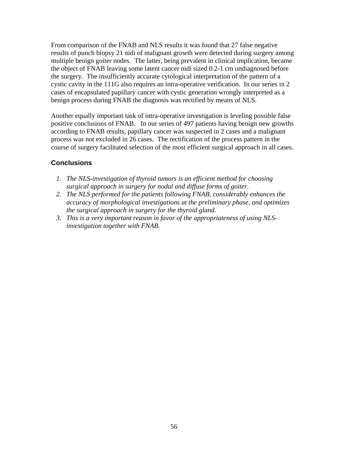<span id="page-55-0"></span>From comparison of the FNAB and NLS results it was found that 27 false negative results of punch biopsy 21 nidi of malignant growth were detected during surgery among multiple benign goiter nodes. The latter, being prevalent in clinical implication, became the object of FNAB leaving some latent cancer nidi sized 0.2-1 cm undiagnosed before the surgery. The insufficiently accurate cytological interpretation of the pattern of a cystic cavity in the 111G also requires an intra-operative verification. In our series in 2 cases of encapsulated papillary cancer with cystic generation wrongly interpreted as a benign process during FNAB the diagnosis was rectified by means of NLS.

Another equally important task of intra-operative investigation is leveling possible false positive conclusions of FNAB. In our series of 497 patients having benign new growths according to FNAB results, papillary cancer was suspected in 2 cases and a malignant process was not excluded in 26 cases. The rectification of the process pattern in the course of surgery facilitated selection of the most efficient surgical approach in all cases.

### **Conclusions**

- *1. The NLS-investigation of thyroid tumors is an efficient method for choosing surgical approach in surgery for nodal and diffuse forms of goiter.*
- *2. The NLS performed for the patients following FNAB, considerably enhances the accuracy of morphological investigations at the preliminary phase, and optimizes the surgical approach in surgery for the thyroid gland.*
- *3. This is a very important reason in favor of the appropriateness of using NLSinvestigation together with FNAB.*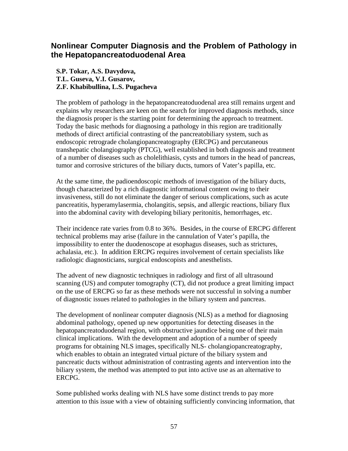### <span id="page-56-0"></span>**Nonlinear Computer Diagnosis and the Problem of Pathology in the Hepatopancreatoduodenal Area**

**S.P. Tokar, A.S. Davydova, T.L. Guseva, V.I. Gusarov, Z.F. Khabibullina, L.S. Pugacheva** 

The problem of pathology in the hepatopancreatoduodenal area still remains urgent and explains why researchers are keen on the search for improved diagnosis methods, since the diagnosis proper is the starting point for determining the approach to treatment. Today the basic methods for diagnosing a pathology in this region are traditionally methods of direct artificial contrasting of the pancreatobiliary system, such as endoscopic retrograde cholangiopancreatography (ERCPG) and percutaneous transhepatic cholangiography (PTCG), well established in both diagnosis and treatment of a number of diseases such as cholelithiasis, cysts and tumors in the head of pancreas, tumor and corrosive strictures of the biliary ducts, tumors of Vater's papilla, etc.

At the same time, the padioendoscopic methods of investigation of the biliary ducts, though characterized by a rich diagnostic informational content owing to their invasiveness, still do not eliminate the danger of serious complications, such as acute pancreatitis, hyperamylasermia, cholangitis, sepsis, and allergic reactions, biliary flux into the abdominal cavity with developing biliary peritonitis, hemorrhages, etc.

Their incidence rate varies from 0.8 to 36%. Besides, in the course of ERCPG different technical problems may arise (failure in the cannulation of Vater's papilla, the impossibility to enter the duodenoscope at esophagus diseases, such as strictures, achalasia, etc.). In addition ERCPG requires involvement of certain specialists like radiologic diagnosticians, surgical endoscopists and anesthelists.

The advent of new diagnostic techniques in radiology and first of all ultrasound scanning (US) and computer tomography (CT), did not produce a great limiting impact on the use of ERCPG so far as these methods were not successful in solving a number of diagnostic issues related to pathologies in the biliary system and pancreas.

The development of nonlinear computer diagnosis (NLS) as a method for diagnosing abdominal pathology, opened up new opportunities for detecting diseases in the hepatopancreatoduodenal region, with obstructive jaundice being one of their main clinical implications. With the development and adoption of a number of speedy programs for obtaining NLS images, specifically NLS- cholangiopancreatography, which enables to obtain an integrated virtual picture of the biliary system and pancreatic ducts without administration of contrasting agents and intervention into the biliary system, the method was attempted to put into active use as an alternative to ERCPG.

Some published works dealing with NLS have some distinct trends to pay more attention to this issue with a view of obtaining sufficiently convincing information, that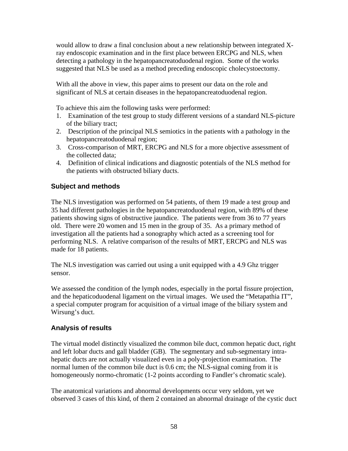<span id="page-57-0"></span>would allow to draw a final conclusion about a new relationship between integrated Xray endoscopic examination and in the first place between ERCPG and NLS, when detecting a pathology in the hepatopancreatoduodenal region. Some of the works suggested that NLS be used as a method preceding endoscopic cholecystoectomy.

With all the above in view, this paper aims to present our data on the role and significant of NLS at certain diseases in the hepatopancreatoduodenal region.

To achieve this aim the following tasks were performed:

- 1. Examination of the test group to study different versions of a standard NLS-picture of the biliary tract;
- 2. Description of the principal NLS semiotics in the patients with a pathology in the hepatopancreatoduodenal region;
- 3. Cross-comparison of MRT, ERCPG and NLS for a more objective assessment of the collected data;
- 4. Definition of clinical indications and diagnostic potentials of the NLS method for the patients with obstructed biliary ducts.

### **Subject and methods**

The NLS investigation was performed on 54 patients, of them 19 made a test group and 35 had different pathologies in the hepatopancreatoduodenal region, with 89% of these patients showing signs of obstructive jaundice. The patients were from 36 to 77 years old. There were 20 women and 15 men in the group of 35. As a primary method of investigation all the patients had a sonography which acted as a screening tool for performing NLS. A relative comparison of the results of MRT, ERCPG and NLS was made for 18 patients.

The NLS investigation was carried out using a unit equipped with a 4.9 Ghz trigger sensor.

We assessed the condition of the lymph nodes, especially in the portal fissure projection, and the hepaticoduodenal ligament on the virtual images. We used the "Metapathia IT", a special computer program for acquisition of a virtual image of the biliary system and Wirsung's duct.

#### **Analysis of results**

The virtual model distinctly visualized the common bile duct, common hepatic duct, right and left lobar ducts and gall bladder (GB). The segmentary and sub-segmentary intrahepatic ducts are not actually visualized even in a poly-projection examination. The normal lumen of the common bile duct is 0.6 cm; the NLS-signal coming from it is homogeneously normo-chromatic (1-2 points according to Fandler's chromatic scale).

The anatomical variations and abnormal developments occur very seldom, yet we observed 3 cases of this kind, of them 2 contained an abnormal drainage of the cystic duct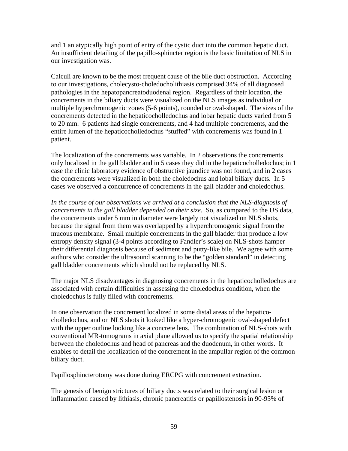and 1 an atypically high point of entry of the cystic duct into the common hepatic duct. An insufficient detailing of the papillo-sphincter region is the basic limitation of NLS in our investigation was.

Calculi are known to be the most frequent cause of the bile duct obstruction. According to our investigations, cholecysto-choledocholithiasis comprised 34% of all diagnosed pathologies in the hepatopancreatoduodenal region. Regardless of their location, the concrements in the biliary ducts were visualized on the NLS images as individual or multiple hyperchromogenic zones (5-6 points), rounded or oval-shaped. The sizes of the concrements detected in the hepaticocholledochus and lobar hepatic ducts varied from 5 to 20 mm. 6 patients had single concrements, and 4 had multiple concrements, and the entire lumen of the hepaticocholledochus "stuffed" with concrements was found in 1 patient.

The localization of the concrements was variable. In 2 observations the concrements only localized in the gall bladder and in 5 cases they did in the hepaticocholledochus; in 1 case the clinic laboratory evidence of obstructive jaundice was not found, and in 2 cases the concrements were visualized in both the choledochus and lobal biliary ducts. In 5 cases we observed a concurrence of concrements in the gall bladder and choledochus.

*In the course of our observations we arrived at a conclusion that the NLS-diagnosis of concrements in the gall bladder depended on their size*. So, as compared to the US data, the concrements under 5 mm in diameter were largely not visualized on NLS shots, because the signal from them was overlapped by a hyperchromogenic signal from the mucous membrane. Small multiple concrements in the gall bladder that produce a low entropy density signal (3-4 points according to Fandler's scale) on NLS-shots hamper their differential diagnosis because of sediment and putty-like bile. We agree with some authors who consider the ultrasound scanning to be the "golden standard" in detecting gall bladder concrements which should not be replaced by NLS.

The major NLS disadvantages in diagnosing concrements in the hepaticocholledochus are associated with certain difficulties in assessing the choledochus condition, when the choledochus is fully filled with concrements.

In one observation the concrement localized in some distal areas of the hepaticocholledochus, and on NLS shots it looked like a hyper-chromogenic oval-shaped defect with the upper outline looking like a concrete lens. The combination of NLS-shots with conventional MR-tomograms in axial plane allowed us to specify the spatial relationship between the choledochus and head of pancreas and the duodenum, in other words. It enables to detail the localization of the concrement in the ampullar region of the common biliary duct.

Papillosphincterotomy was done during ERCPG with concrement extraction.

The genesis of benign strictures of biliary ducts was related to their surgical lesion or inflammation caused by lithiasis, chronic pancreatitis or papillostenosis in 90-95% of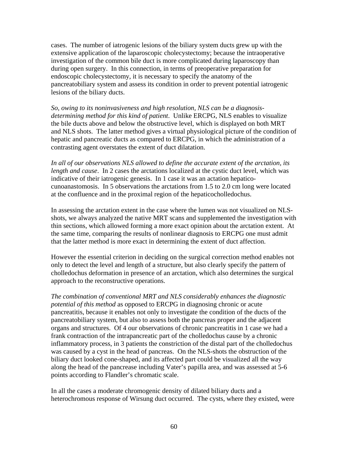cases. The number of iatrogenic lesions of the biliary system ducts grew up with the extensive application of the laparoscopic cholecystectomy; because the intraoperative investigation of the common bile duct is more complicated during laparoscopy than during open surgery. In this connection, in terms of preoperative preparation for endoscopic cholecystectomy, it is necessary to specify the anatomy of the pancreatobiliary system and assess its condition in order to prevent potential iatrogenic lesions of the biliary ducts.

*So, owing to its noninvasiveness and high resolution, NLS can be a diagnosisdetermining method for this kind of patient*. Unlike ERCPG, NLS enables to visualize the bile ducts above and below the obstructive level, which is displayed on both MRT and NLS shots. The latter method gives a virtual physiological picture of the condition of hepatic and pancreatic ducts as compared to ERCPG, in which the administration of a contrasting agent overstates the extent of duct dilatation.

*In all of our observations NLS allowed to define the accurate extent of the arctation, its length and cause*. In 2 cases the arctations localized at the cystic duct level, which was indicative of their iatrogenic genesis. In 1 case it was an actation hepaticocunoanastomosis. In 5 observations the arctations from 1.5 to 2.0 cm long were located at the confluence and in the proximal region of the hepaticocholledochus.

In assessing the arctation extent in the case where the lumen was not visualized on NLSshots, we always analyzed the native MRT scans and supplemented the investigation with thin sections, which allowed forming a more exact opinion about the arctation extent. At the same time, comparing the results of nonlinear diagnosis to ERCPG one must admit that the latter method is more exact in determining the extent of duct affection.

However the essential criterion in deciding on the surgical correction method enables not only to detect the level and length of a structure, but also clearly specify the pattern of cholledochus deformation in presence of an arctation, which also determines the surgical approach to the reconstructive operations.

*The combination of conventional MRT and NLS considerably enhances the diagnostic potential of this method* as opposed to ERCPG in diagnosing chronic or acute pancreatitis, because it enables not only to investigate the condition of the ducts of the pancreatobiliary system, but also to assess both the pancreas proper and the adjacent organs and structures. Of 4 our observations of chronic pancreatitis in 1 case we had a frank contraction of the intrapancreatic part of the cholledochus cause by a chronic inflammatory process, in 3 patients the constriction of the distal part of the cholledochus was caused by a cyst in the head of pancreas. On the NLS-shots the obstruction of the biliary duct looked cone-shaped, and its affected part could be visualized all the way along the head of the pancrease including Vater's papilla area, and was assessed at 5-6 points according to Flandler's chromatic scale.

In all the cases a moderate chromogenic density of dilated biliary ducts and a heterochromous response of Wirsung duct occurred. The cysts, where they existed, were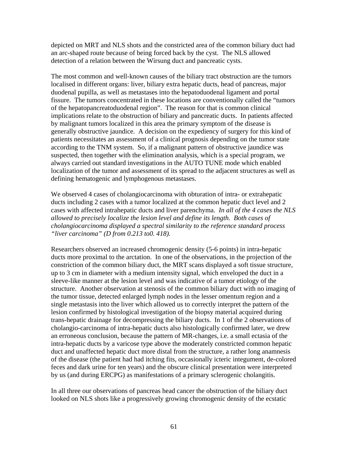depicted on MRT and NLS shots and the constricted area of the common biliary duct had an arc-shaped route because of being forced back by the cyst. The NLS allowed detection of a relation between the Wirsung duct and pancreatic cysts.

The most common and well-known causes of the biliary tract obstruction are the tumors localised in different organs: liver, biliary extra hepatic ducts, head of pancreas, major duodenal pupilla, as well as metastases into the hepatoduodenal ligament and portal fissure. The tumors concentrated in these locations are conventionally called the "tumors of the hepatopancreatoduodenal region". The reason for that is common clinical implications relate to the obstruction of biliary and pancreatic ducts. In patients affected by malignant tumors localized in this area the primary symptom of the disease is generally obstructive jaundice. A decision on the expediency of surgery for this kind of patients necessitates an assessment of a clinical prognosis depending on the tumor state according to the TNM system. So, if a malignant pattern of obstructive jaundice was suspected, then together with the elimination analysis, which is a special program, we always carried out standard investigations in the AUTO TUNE mode which enabled localization of the tumor and assessment of its spread to the adjacent structures as well as defining hematogenic and lymphogenous metastases.

We observed 4 cases of cholangiocarcinoma with obturation of intra- or extrahepatic ducts including 2 cases with a tumor localized at the common hepatic duct level and 2 cases with affected intrahepatic ducts and liver parenchyma. *In all of the 4 cases the NLS allowed to precisely localize the lesion level and define its length. Both cases of cholangiocarcinoma displayed a spectral similarity to the reference standard process "liver carcinoma" (D from 0.213 to0. 418).*

Researchers observed an increased chromogenic density (5-6 points) in intra-hepatic ducts more proximal to the arctation. In one of the observations, in the projection of the constriction of the common biliary duct, the MRT scans displayed a soft tissue structure, up to 3 cm in diameter with a medium intensity signal, which enveloped the duct in a sleeve-like manner at the lesion level and was indicative of a tumor etiology of the structure. Another observation at stenosis of the common biliary duct with no imaging of the tumor tissue, detected enlarged lymph nodes in the lesser omentum region and a single metastasis into the liver which allowed us to correctly interpret the pattern of the lesion confirmed by histological investigation of the biopsy material acquired during trans-hepatic drainage for decompressing the biliary ducts. In 1 of the 2 observations of cholangio-carcinoma of intra-hepatic ducts also histologically confirmed later, we drew an erroneous conclusion, because the pattern of MR-changes, i.e. a small ectasia of the intra-hepatic ducts by a varicose type above the moderately constricted common hepatic duct and unaffected hepatic duct more distal from the structure, a rather long anamnesis of the disease (the patient had had itching fits, occasionally icteric integument, de-colored feces and dark urine for ten years) and the obscure clinical presentation were interpreted by us (and during ERCPG) as manifestations of a primary sclerogenic cholangitis.

In all three our observations of pancreas head cancer the obstruction of the biliary duct looked on NLS shots like a progressively growing chromogenic density of the ecstatic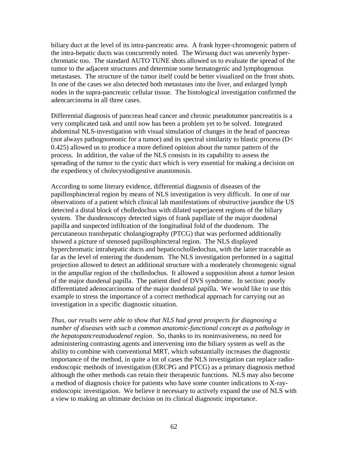biliary duct at the level of its intra-pancreatic area. A frank hyper-chromogenic pattern of the intra-hepatic ducts was concurrently noted. The Wirsung duct was unevenly hyperchromatic too. The standard AUTO TUNE shots allowed us to evaluate the spread of the tumor to the adjacent structures and determine some hematogenic and lymphogenous metastases. The structure of the tumor itself could be better visualized on the front shots. In one of the cases we also detected both metastases into the liver, and enlarged lymph nodes in the supra-pancreatic cellular tissue. The histological investigation confirmed the adencarcinoma in all three cases.

Differential diagnosis of pancreas head cancer and chronic pseudotumor pancreatitis is a very complicated task and until now has been a problem yet to be solved. Integrated abdominal NLS-investigation with visual simulation of changes in the head of pancreas (not always pathognomonic for a tumor) and its spectral similarity to blastic process (D< 0.425) allowed us to produce a more defined opinion about the tumor pattern of the process. In addition, the value of the NLS consists in its capability to assess the spreading of the tumor to the cystic duct which is very essential for making a decision on the expediency of cholecystodigestive anastomosis.

According to some literary evidence, differential diagnosis of diseases of the papillosphincteral region by means of NLS investigation is very difficult. In one of our observations of a patient which clinical lab manifestations of obstructive jaundice the US detected a distal block of cholledochus with dilated superjacent regions of the biliary system. The duodenoscopy detected signs of frank papillate of the major duodenal papilla and suspected infiltration of the longitudinal fold of the duodenum. The percutaneous transhepatic cholangiography (PTCG) that was performed additionally showed a picture of stenosed papillosphincteral region. The NLS displayed hyperchromatic intrahepatic ducts and hepaticocholledochus, with the latter traceable as far as the level of entering the duodenum. The NLS investigation performed in a sagittal projection allowed to detect an additional structure with a moderately chromogenic signal in the ampullar region of the cholledochus. It allowed a supposition about a tumor lesion of the major duodenal papilla. The patient died of DVS syndrome. In section: poorly differentiated adenocarcinoma of the major duodenal papilla. We would like to use this example to stress the importance of a correct methodical approach for carrying out an investigation in a specific diagnostic situation.

*Thus, our results were able to show that NLS had great prospects for diagnosing a number of diseases with such a common anatomic-functional concept as a pathology in the hepatopancreatoduodenal region*. So, thanks to its noninvasiveness, no need for administering contrasting agents and intervening into the biliary system as well as the ability to combine with conventional MRT, which substantially increases the diagnostic importance of the method, in quite a lot of cases the NLS investigation can replace radioendoscopic methods of investigation (ERCPG and PTCG) as a primary diagnosis method although the other methods can retain their therapeutic functions. NLS may also become a method of diagnosis choice for patients who have some counter indications to X-rayendoscopic investigation. We believe it necessary to actively expand the use of NLS with a view to making an ultimate decision on its clinical diagnostic importance.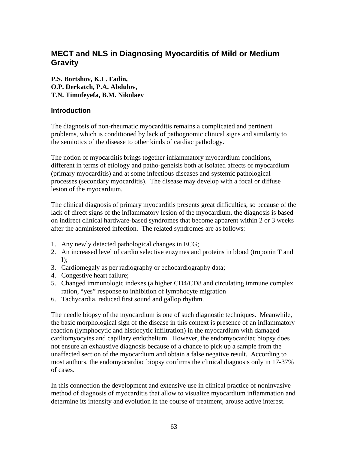### <span id="page-62-0"></span>**MECT and NLS in Diagnosing Myocarditis of Mild or Medium Gravity**

**P.S. Bortshov, K.L. Fadin, O.P. Derkatch, P.A. Abdulov, T.N. Timofeyefa, B.M. Nikolaev** 

#### **Introduction**

The diagnosis of non-rheumatic myocarditis remains a complicated and pertinent problems, which is conditioned by lack of pathognomic clinical signs and similarity to the semiotics of the disease to other kinds of cardiac pathology.

The notion of myocarditis brings together inflammatory myocardium conditions, different in terms of etiology and patho-geneisis both at isolated affects of myocardium (primary myocarditis) and at some infectious diseases and systemic pathological processes (secondary myocarditis). The disease may develop with a focal or diffuse lesion of the myocardium.

The clinical diagnosis of primary myocarditis presents great difficulties, so because of the lack of direct signs of the inflammatory lesion of the myocardium, the diagnosis is based on indirect clinical hardware-based syndromes that become apparent within 2 or 3 weeks after the administered infection. The related syndromes are as follows:

- 1. Any newly detected pathological changes in ECG;
- 2. An increased level of cardio selective enzymes and proteins in blood (troponin T and  $I$ :
- 3. Cardiomegaly as per radiography or echocardiography data;
- 4. Congestive heart failure;
- 5. Changed immunologic indexes (a higher CD4/CD8 and circulating immune complex ration, "yes" response to inhibition of lymphocyte migration
- 6. Tachycardia, reduced first sound and gallop rhythm.

The needle biopsy of the myocardium is one of such diagnostic techniques. Meanwhile, the basic morphological sign of the disease in this context is presence of an inflammatory reaction (lymphocytic and histiocytic infiltration) in the myocardium with damaged cardiomyocytes and capillary endothelium. However, the endomyocardiac biopsy does not ensure an exhaustive diagnosis because of a chance to pick up a sample from the unaffected section of the myocardium and obtain a false negative result. According to most authors, the endomyocardiac biopsy confirms the clinical diagnosis only in 17-37% of cases.

In this connection the development and extensive use in clinical practice of noninvasive method of diagnosis of myocarditis that allow to visualize myocardium inflammation and determine its intensity and evolution in the course of treatment, arouse active interest.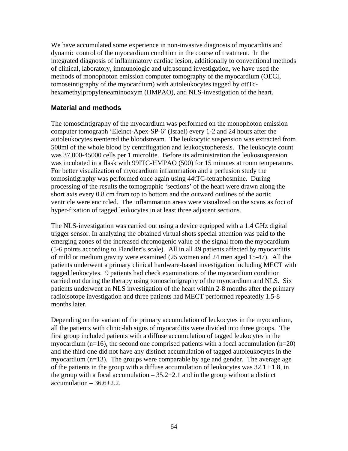<span id="page-63-0"></span>We have accumulated some experience in non-invasive diagnosis of myocarditis and dynamic control of the myocardium condition in the course of treatment. In the integrated diagnosis of inflammatory cardiac lesion, additionally to conventional methods of clinical, laboratory, immunologic and ultrasound investigation, we have used the methods of monophoton emission computer tomography of the myocardium (OECI, tomoseintigraphy of the myocardium) with autoleukocytes tagged by ottTchexamethylpropyleneaminooxym (HMPAO), and NLS-investigation of the heart.

#### **Material and methods**

The tomoscintigraphy of the myocardium was performed on the monophoton emission computer tomograph 'Eleinct-Apex-SP-6' (Israel) every 1-2 and 24 hours after the autoleukocytes reentered the bloodstream. The leukocytic suspension was extracted from 500ml of the whole blood by centrifugation and leukocytopheresis. The leukocyte count was 37,000-45000 cells per 1 microlite. Before its administration the leukosuspension was incubated in a flask with 99ITC-HMPAO (500) for 15 minutes at room temperature. For better visualization of myocardium inflammation and a perfusion study the tomosintigraphy was performed once again using 44tTC-tetraphosmine. During processing of the results the tomographic 'sections' of the heart were drawn along the short axis every 0.8 cm from top to bottom and the outward outlines of the aortic ventricle were encircled. The inflammation areas were visualized on the scans as foci of hyper-fixation of tagged leukocytes in at least three adjacent sections.

The NLS-investigation was carried out using a device equipped with a 1.4 GHz digital trigger sensor. In analyzing the obtained virtual shots special attention was paid to the emerging zones of the increased chromogenic value of the signal from the myocardium (5-6 points according to Flandler's scale). All in all 49 patients affected by myocarditis of mild or medium gravity were examined (25 women and 24 men aged 15-47). All the patients underwent a primary clinical hardware-based investigation including MECT with tagged leukocytes. 9 patients had check examinations of the myocardium condition carried out during the therapy using tomoscintigraphy of the myocardium and NLS. Six patients underwent an NLS investigation of the heart within 2-8 months after the primary radioisotope investigation and three patients had MECT performed repeatedly 1.5-8 months later.

Depending on the variant of the primary accumulation of leukocytes in the myocardium, all the patients with clinic-lab signs of myocarditis were divided into three groups. The first group included patients with a diffuse accumulation of tagged leukocytes in the myocardium ( $n=16$ ), the second one comprised patients with a focal accumulation ( $n=20$ ) and the third one did not have any distinct accumulation of tagged autoleukocytes in the myocardium (n=13). The groups were comparable by age and gender. The average age of the patients in the group with a diffuse accumulation of leukocytes was 32.1+ 1.8, in the group with a focal accumulation  $-35.2+2.1$  and in the group without a distinct  $accumulation - 36.6 + 2.2.$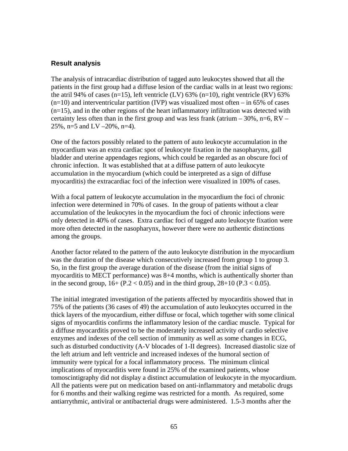#### <span id="page-64-0"></span>**Result analysis**

The analysis of intracardiac distribution of tagged auto leukocytes showed that all the patients in the first group had a diffuse lesion of the cardiac walls in at least two regions: the atril 94% of cases (n=15), left ventricle (LV)  $63\%$  (n=10), right ventricle (RV)  $63\%$  $(n=10)$  and interventricular partition (IVP) was visualized most often – in 65% of cases (n=15), and in the other regions of the heart inflammatory infiltration was detected with certainty less often than in the first group and was less frank (atrium  $-30\%$ , n=6, RV – 25%, n=5 and LV –20%, n=4).

One of the factors possibly related to the pattern of auto leukocyte accumulation in the myocardium was an extra cardiac spot of leukocyte fixation in the nasopharynx, gall bladder and uterine appendages regions, which could be regarded as an obscure foci of chronic infection. It was established that at a diffuse pattern of auto leukocyte accumulation in the myocardium (which could be interpreted as a sign of diffuse myocarditis) the extracardiac foci of the infection were visualized in 100% of cases.

With a focal pattern of leukocyte accumulation in the myocardium the foci of chronic infection were determined in 70% of cases. In the group of patients without a clear accumulation of the leukocytes in the myocardium the foci of chronic infections were only detected in 40% of cases. Extra cardiac foci of tagged auto leukocyte fixation were more often detected in the nasopharynx, however there were no authentic distinctions among the groups.

Another factor related to the pattern of the auto leukocyte distribution in the myocardium was the duration of the disease which consecutively increased from group 1 to group 3. So, in the first group the average duration of the disease (from the initial signs of myocarditis to MECT performance) was 8+4 months, which is authentically shorter than in the second group,  $16+ (P.2 < 0.05)$  and in the third group,  $28+10$  ( $P.3 < 0.05$ ).

The initial integrated investigation of the patients affected by myocarditis showed that in 75% of the patients (36 cases of 49) the accumulation of auto leukocytes occurred in the thick layers of the myocardium, either diffuse or focal, which together with some clinical signs of myocarditis confirms the inflammatory lesion of the cardiac muscle. Typical for a diffuse myocarditis proved to be the moderately increased activity of cardio selective enzymes and indexes of the cell section of immunity as well as some changes in ECG, such as disturbed conductivity (A-V blocades of 1-II degrees). Increased diastolic size of the left atrium and left ventricle and increased indexes of the humoral section of immunity were typical for a focal inflammatory process. The minimum clinical implications of myocarditis were found in 25% of the examined patients, whose tomoscintigraphy did not display a distinct accumulation of leukocyte in the myocardium. All the patients were put on medication based on anti-inflammatory and metabolic drugs for 6 months and their walking regime was restricted for a month. As required, some antiarrythmic, antiviral or antibacterial drugs were administered. 1.5-3 months after the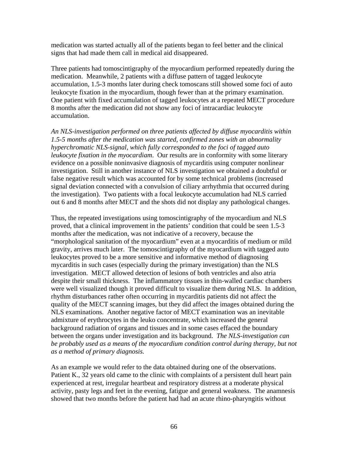medication was started actually all of the patients began to feel better and the clinical signs that had made them call in medical aid disappeared.

Three patients had tomoscintigraphy of the myocardium performed repeatedly during the medication. Meanwhile, 2 patients with a diffuse pattern of tagged leukocyte accumulation, 1.5-3 months later during check tomoscans still showed some foci of auto leukocyte fixation in the myocardium, though fewer than at the primary examination. One patient with fixed accumulation of tagged leukocytes at a repeated MECT procedure 8 months after the medication did not show any foci of intracardiac leukocyte accumulation.

*An NLS-investigation performed on three patients affected by diffuse myocarditis within 1.5-5 months after the medication was started, confirmed zones with an abnormality hyperchromatic NLS-signal, which fully corresponded to the foci of tagged auto leukocyte fixation in the myocardiam*. Our results are in conformity with some literary evidence on a possible noninvasive diagnosis of mycarditis using computer nonlinear investigation. Still in another instance of NLS investigation we obtained a doubtful or false negative result which was accounted for by some technical problems (increased signal deviation connected with a convulsion of ciliary arrhythmia that occurred during the investigation). Two patients with a focal leukocyte accumulation had NLS carried out 6 and 8 months after MECT and the shots did not display any pathological changes.

Thus, the repeated investigations using tomoscintigraphy of the myocardium and NLS proved, that a clinical improvement in the patients' condition that could be seen 1.5-3 months after the medication, was not indicative of a recovery, because the "morphological sanitation of the myocardium" even at a myocarditis of medium or mild gravity, arrives much later. The tomoscintigraphy of the myocardium with tagged auto leukocytes proved to be a more sensitive and informative method of diagnosing mycarditis in such cases (especially during the primary investigation) than the NLS investigation. MECT allowed detection of lesions of both ventricles and also atria despite their small thickness. The inflammatory tissues in thin-walled cardiac chambers were well visualized though it proved difficult to visualize them during NLS. In addition, rhythm disturbances rather often occurring in mycarditis patients did not affect the quality of the MECT scanning images, but they did affect the images obtained during the NLS examinations. Another negative factor of MECT examination was an inevitable admixture of erythrocytes in the leuko concentrate, which increased the general background radiation of organs and tissues and in some cases effaced the boundary between the organs under investigation and its background. *The NLS-investigation can*  be probably used as a means of the myocardium condition control during therapy, but not *as a method of primary diagnosis.* 

As an example we would refer to the data obtained during one of the observations. Patient K., 32 years old came to the clinic with complaints of a persistent dull heart pain experienced at rest, irregular heartbeat and respiratory distress at a moderate physical activity, pasty legs and feet in the evening, fatigue and general weakness. The anamnesis showed that two months before the patient had had an acute rhino-pharyngitis without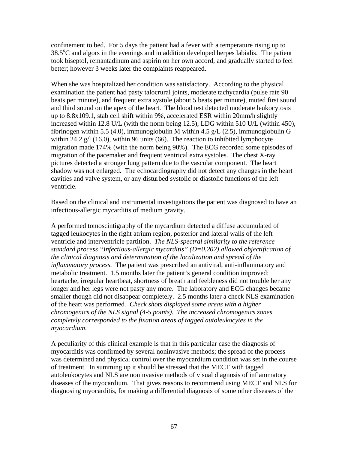confinement to bed. For 5 days the patient had a fever with a temperature rising up to 38.5°C and algors in the evenings and in addition developed herpes labialis. The patient took biseptol, remantadinum and aspirin on her own accord, and gradually started to feel better; however 3 weeks later the complaints reappeared.

When she was hospitalized her condition was satisfactory. According to the physical examination the patient had pasty talocrural joints, moderate tachycardia (pulse rate 90 beats per minute), and frequent extra systole (about 5 beats per minute), muted first sound and third sound on the apex of the heart. The blood test detected moderate leukocytosis up to 8.8x109.1, stab cell shift within 9%, accelerated ESR within 20mm/h slightly increased within 12.8 U/L (with the norm being 12.5), LDG within 510 U/L (within 450), fibrinogen within 5.5 (4.0), immunoglobulin M within 4.5  $g/L$  (2.5), immunoglobulin G within 24.2  $g/$  (16.0), within 96 units (66). The reaction to inhibited lymphocyte migration made 174% (with the norm being 90%). The ECG recorded some episodes of migration of the pacemaker and frequent ventrical extra systoles. The chest X-ray pictures detected a stronger lung pattern due to the vascular component. The heart shadow was not enlarged. The echocardiography did not detect any changes in the heart cavities and valve system, or any disturbed systolic or diastolic functions of the left ventricle.

Based on the clinical and instrumental investigations the patient was diagnosed to have an infectious-allergic mycarditis of medium gravity.

A performed tomoscintigraphy of the mycardium detected a diffuse accumulated of tagged leukocytes in the right atrium region, posterior and lateral walls of the left ventricle and interventricle partition. *The NLS-spectral similarity to the reference standard process "Infectious-allergic mycarditis" (D=0.202) allowed objectification of the clinical diagnosis and determination of the localization and spread of the inflammatory process.* The patient was prescribed an antiviral, anti-inflammatory and metabolic treatment. 1.5 months later the patient's general condition improved: heartache, irregular heartbeat, shortness of breath and feebleness did not trouble her any longer and her legs were not pasty any more. The laboratory and ECG changes became smaller though did not disappear completely. 2.5 months later a check NLS examination of the heart was performed*. Check shots displayed some areas with a higher chromogenics of the NLS signal (4-5 points). The increased chromogenics zones completely corresponded to the fixation areas of tagged autoleukocytes in the myocardium.* 

A peculiarity of this clinical example is that in this particular case the diagnosis of myocarditis was confirmed by several noninvasive methods; the spread of the process was determined and physical control over the myocardium condition was set in the course of treatment. In summing up it should be stressed that the MECT with tagged autoleukocytes and NLS are noninvasive methods of visual diagnosis of inflammatory diseases of the myocardium. That gives reasons to recommend using MECT and NLS for diagnosing myocarditis, for making a differential diagnosis of some other diseases of the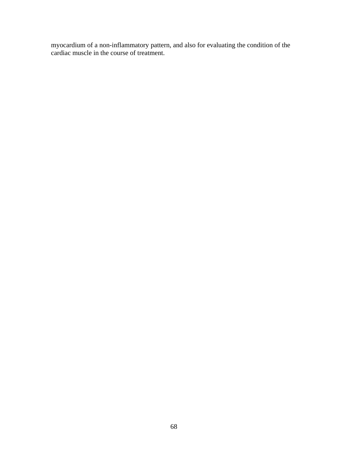myocardium of a non-inflammatory pattern, and also for evaluating the condition of the cardiac muscle in the course of treatment.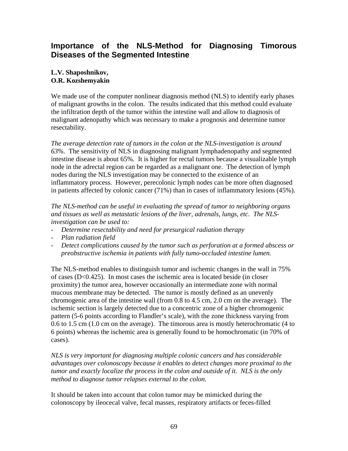### <span id="page-68-0"></span>**Importance of the NLS-Method for Diagnosing Timorous Diseases of the Segmented Intestine**

### **L.V. Shaposhnikov, O.R. Kozshemyakin**

We made use of the computer nonlinear diagnosis method (NLS) to identify early phases of malignant growths in the colon. The results indicated that this method could evaluate the infiltration depth of the tumor within the intestine wall and allow to diagnosis of malignant adenopathy which was necessary to make a prognosis and determine tumor resectability.

*The average detection rate of tumors in the colon at the NLS-investigation is around 63%.* The sensitivity of NLS in diagnosing malignant lymphadenopathy and segmented intestine disease is about 65%. It is higher for rectal tumors because a visualizable lymph node in the adrectal region can be regarded as a malignant one. The detection of lymph nodes during the NLS investigation may be connected to the existence of an inflammatory process. However, perecolonic lymph nodes can be more often diagnosed in patients affected by colonic cancer (71%) than in cases of inflammatory lesions (45%).

*The NLS-method can be useful in evaluating the spread of tumor to neighboring organs and tissues as well as metastatic lesions of the liver, adrenals, lungs, etc. The NLSinvestigation can be used to:* 

- *Determine resectability and need for presurgical radiation therapy*
- *Plan radiation field*
- *Detect complications caused by the tumor such as perforation at a formed abscess or preobstructive ischemia in patients with fully tumo-occluded intestine lumen.*

The NLS-method enables to distinguish tumor and ischemic changes in the wall in 75% of cases (D<0.425). In most cases the ischemic area is located beside (in closer proximity) the tumor area, however occasionally an intermediate zone with normal mucous membrane may be detected. The tumor is mostly defined as an unevenly chromogenic area of the intestine wall (from 0.8 to 4.5 cm, 2.0 cm on the average). The ischemic section is largely detected due to a concentric zone of a higher chromogenic pattern (5-6 points according to Flandler's scale), with the zone thickness varying from 0.6 to 1.5 cm (1.0 cm on the average). The timorous area is mostly heterochromatic (4 to 6 points) whereas the ischemic area is generally found to be homochromatic (in 70% of cases).

*NLS is very important for diagnosing multiple colonic cancers and has considerable advantages over colonoscopy because it enables to detect changes more proximal to the tumor and exactly localize the process in the colon and outside of it. NLS is the only method to diagnose tumor relapses external to the colon.* 

It should be taken into account that colon tumor may be mimicked during the colonoscopy by ileocecal valve, fecal masses, respiratory artifacts or feces-filled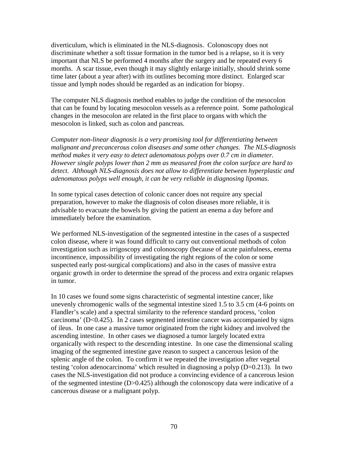diverticulum, which is eliminated in the NLS-diagnosis. Colonoscopy does not discriminate whether a soft tissue formation in the tumor bed is a relapse, so it is very important that NLS be performed 4 months after the surgery and be repeated every 6 months. A scar tissue, even though it may slightly enlarge initially, should shrink some time later (about a year after) with its outlines becoming more distinct. Enlarged scar tissue and lymph nodes should be regarded as an indication for biopsy.

The computer NLS diagnosis method enables to judge the condition of the mesocolon that can be found by locating mesocolon vessels as a reference point. Some pathological changes in the mesocolon are related in the first place to organs with which the mesocolon is linked, such as colon and pancreas.

*Computer non-linear diagnosis is a very promising tool for differentiating between malignant and precancerous colon diseases and some other changes. The NLS-diagnosis method makes it very easy to detect adenomatous polyps over 0.7 cm in diameter. However single polyps lower than 2 mm as measured from the colon surface are hard to detect. Although NLS-diagnosis does not allow to differentiate between hyperplastic and adenomatous polyps well enough, it can be very reliable in diagnosing lipomas*.

In some typical cases detection of colonic cancer does not require any special preparation, however to make the diagnosis of colon diseases more reliable, it is advisable to evacuate the bowels by giving the patient an enema a day before and immediately before the examination.

We performed NLS-investigation of the segmented intestine in the cases of a suspected colon disease, where it was found difficult to carry out conventional methods of colon investigation such as irrigoscopy and colonoscopy (because of acute painfulness, enema incontinence, impossibility of investigating the right regions of the colon or some suspected early post-surgical complications) and also in the cases of massive extra organic growth in order to determine the spread of the process and extra organic relapses in tumor.

In 10 cases we found some signs characteristic of segmental intestine cancer, like unevenly chromogenic walls of the segmental intestine sized 1.5 to 3.5 cm (4-6 points on Flandler's scale) and a spectral similarity to the reference standard process, 'colon carcinoma'  $(D<0.425)$ . In 2 cases segmented intestine cancer was accompanied by signs of ileus. In one case a massive tumor originated from the right kidney and involved the ascending intestine. In other cases we diagnosed a tumor largely located extra organically with respect to the descending intestine. In one case the dimensional scaling imaging of the segmented intestine gave reason to suspect a cancerous lesion of the splenic angle of the colon. To confirm it we repeated the investigation after vegetal testing 'colon adenocarcinoma' which resulted in diagnosing a polyp (D=0.213). In two cases the NLS-investigation did not produce a convincing evidence of a cancerous lesion of the segmented intestine (D>0.425) although the colonoscopy data were indicative of a cancerous disease or a malignant polyp.